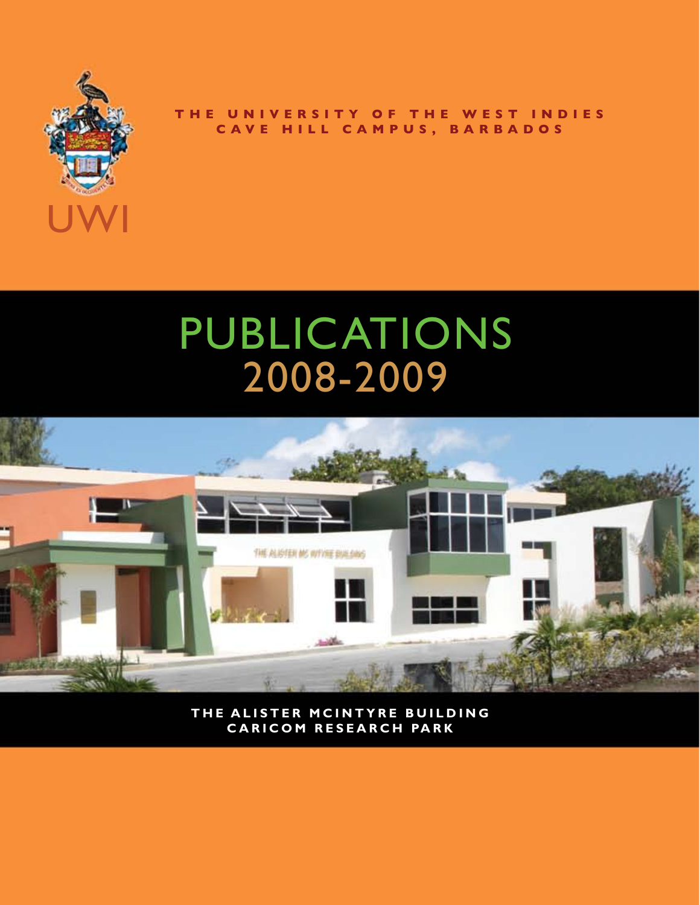

#### **T H E U N I V E R S I T Y O F T H E W E S T I N D I E S C A V E H I L L C A M P U S , B A R B A D O S**

## PUBLICATIONS 2008-2009



**THE ALISTER MCINTYRE BUILDING CARICOM RESEARCH PARK**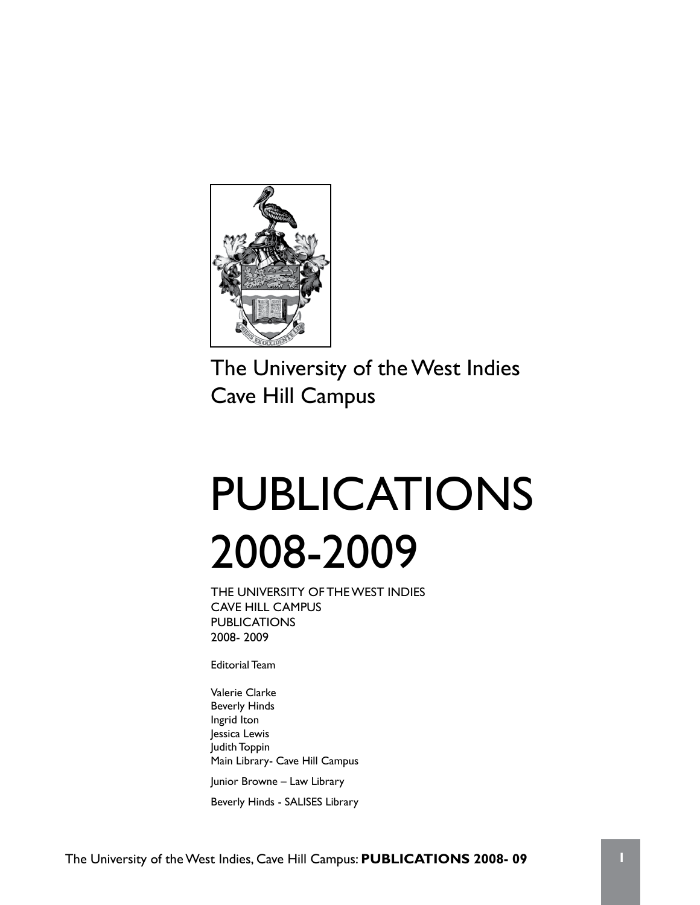

The University of the West Indies Cave Hill Campus

# PUBLICATIONS 2008-2009

THE UNIVERSITY OF THE WEST INDIES CAVE HILL CAMPUS **PUBLICATIONS** 2008- 2009

Editorial Team

Valerie Clarke Beverly Hinds Ingrid Iton Jessica Lewis Judith Toppin Main Library- Cave Hill Campus Junior Browne – Law Library Beverly Hinds - SALISES Library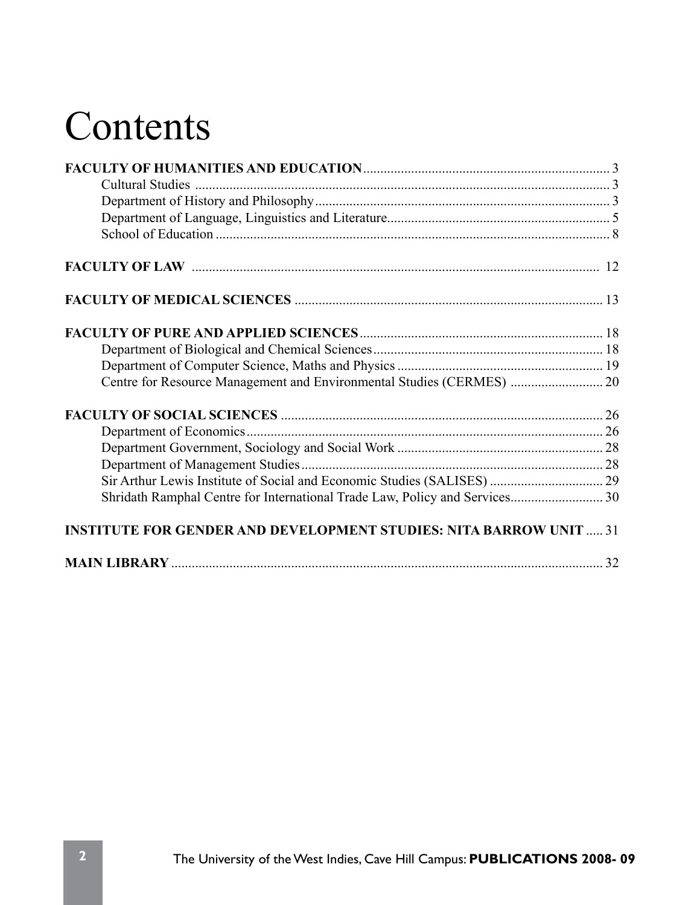## Contents

| Centre for Resource Management and Environmental Studies (CERMES)  20       |  |
|-----------------------------------------------------------------------------|--|
|                                                                             |  |
|                                                                             |  |
|                                                                             |  |
|                                                                             |  |
|                                                                             |  |
| Shridath Ramphal Centre for International Trade Law, Policy and Services 30 |  |
| <b>INSTITUTE FOR GENDER AND DEVELOPMENT STUDIES: NITA BARROW UNIT  31</b>   |  |
|                                                                             |  |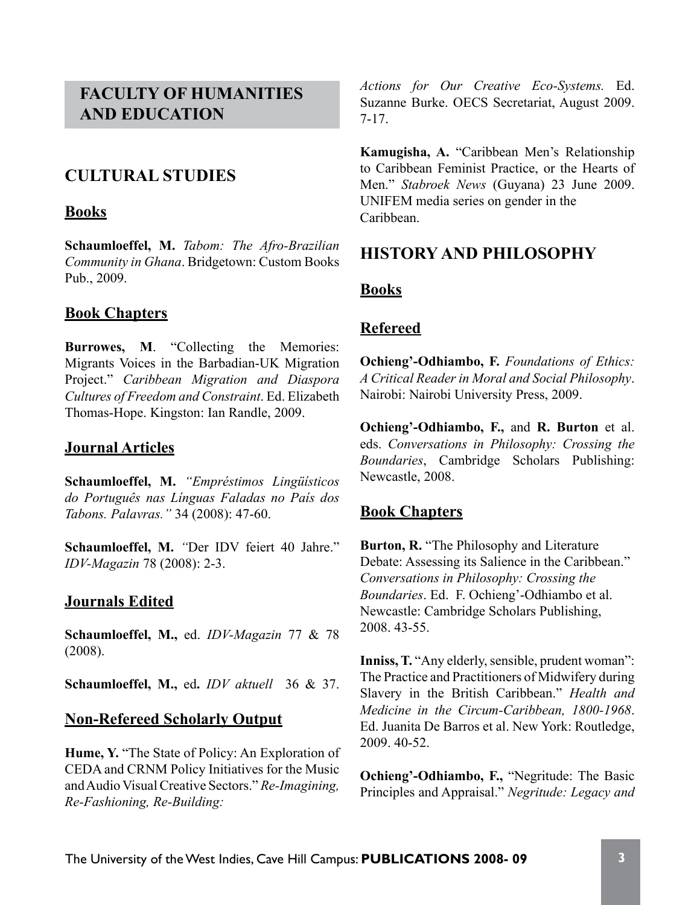## **FACULTY OF HUMANITIES AND EDUCATION**

## **CULTURAL STUDIES**

#### **Books**

**Schaumloeffel, M.** *Tabom: The Afro-Brazilian Community in Ghana*. Bridgetown: Custom Books Pub., 2009.

## **Book Chapters**

**Burrowes, M**. "Collecting the Memories: Migrants Voices in the Barbadian-UK Migration Project." *Caribbean Migration and Diaspora Cultures of Freedom and Constraint*. Ed. Elizabeth Thomas-Hope. Kingston: Ian Randle, 2009.

## **Journal Articles**

**Schaumloeffel, M.** *"Empréstimos Lingüísticos do Português nas Línguas Faladas no País dos Tabons. Palavras."* 34 (2008): 47-60.

**Schaumloeffel, M.** *"*Der IDV feiert 40 Jahre." *IDV-Magazin* 78 (2008): 2-3.

## **Journals Edited**

**Schaumloeffel, M.,** ed. *IDV-Magazin* 77 & 78 (2008).

**Schaumloeffel, M.,** ed**.** *IDV aktuell* 36 & 37.

#### **Non-Refereed Scholarly Output**

**Hume, Y.** "The State of Policy: An Exploration of CEDA and CRNM Policy Initiatives for the Music andAudio VisualCreative Sectors." *Re-Imagining, Re-Fashioning, Re-Building:* 

*Actions for Our Creative Eco-Systems.* Ed. Suzanne Burke. OECS Secretariat, August 2009. 7-17.

**Kamugisha, A.** "Caribbean Men's Relationship to Caribbean Feminist Practice, or the Hearts of Men." *Stabroek News* (Guyana) 23 June 2009. UNIFEM media series on gender in the **Caribbean** 

## **HISTORY AND PHILOSOPHY**

## **Books**

## **Refereed**

**Ochieng'-Odhiambo, F.** *Foundations of Ethics: A Critical Reader in Moral and Social Philosophy*. Nairobi: Nairobi University Press, 2009.

**Ochieng'-Odhiambo, F.,** and **R. Burton** et al. eds. *Conversations in Philosophy: Crossing the Boundaries*, Cambridge Scholars Publishing: Newcastle, 2008.

## **Book Chapters**

**Burton, R.** "The Philosophy and Literature Debate: Assessing its Salience in the Caribbean." *Conversations in Philosophy: Crossing the Boundaries*. Ed. F. Ochieng'-Odhiambo et al. Newcastle: Cambridge Scholars Publishing, 2008. 43-55.

**Inniss, T.** "Any elderly, sensible, prudent woman": The Practice and Practitioners of Midwifery during Slavery in the British Caribbean." *Health and Medicine in the Circum-Caribbean, 1800-1968*. Ed. Juanita De Barros et al. New York: Routledge, 2009. 40-52.

**Ochieng'-Odhiambo, F.,** "Negritude: The Basic Principles and Appraisal." *Negritude: Legacy and*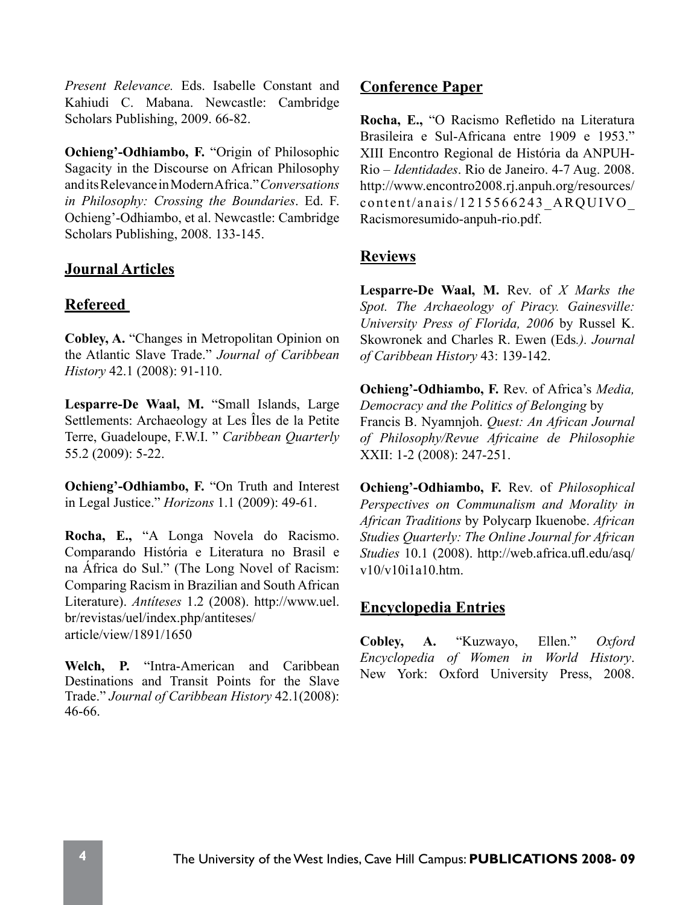*Present Relevance.* Eds. Isabelle Constant and Kahiudi C. Mabana. Newcastle: Cambridge Scholars Publishing, 2009. 66-82.

**Ochieng'-Odhiambo, F.** "Origin of Philosophic Sagacity in the Discourse on African Philosophy anditsRelevanceinModernAfrica."*Conversations in Philosophy: Crossing the Boundaries*. Ed. F. Ochieng'-Odhiambo, et al. Newcastle: Cambridge Scholars Publishing, 2008. 133-145.

## **Journal Articles**

## **Refereed**

**Cobley, A.** "Changes in Metropolitan Opinion on the Atlantic Slave Trade." *Journal of Caribbean History* 42.1 (2008): 91-110.

**Lesparre-De Waal, M.** "Small Islands, Large Settlements: Archaeology at Les Îles de la Petite Terre, Guadeloupe, F.W.I. " *Caribbean Quarterly* 55.2 (2009): 5-22.

**Ochieng'-Odhiambo, F.** "On Truth and Interest in Legal Justice." *Horizons* 1.1 (2009): 49-61.

**Rocha, E.,** "A Longa Novela do Racismo. Comparando História e Literatura no Brasil e na África do Sul." (The Long Novel of Racism: Comparing Racism in Brazilian and South African Literature). *Antíteses* 1.2 (2008). http://www.uel. br/revistas/uel/index.php/antiteses/ article/view/1891/1650

**Welch, P.** "Intra-American and Caribbean Destinations and Transit Points for the Slave Trade." *Journal of Caribbean History* 42.1(2008): 46-66.

## **Conference Paper**

**Rocha, E.,** "O Racismo Refletido na Literatura Brasileira e Sul-Africana entre 1909 e 1953." XIII Encontro Regional de História da ANPUH-Rio – *Identidades*. Rio de Janeiro. 4-7 Aug. 2008. http://www.encontro2008.rj.anpuh.org/resources/ content/anais/1215566243\_ARQUIVO\_ Racismoresumido-anpuh-rio.pdf.

#### **Reviews**

**Lesparre-De Waal, M.** Rev. of *X Marks the Spot. The Archaeology of Piracy. Gainesville: University Press of Florida, 2006* by Russel K. Skowronek and Charles R. Ewen (Eds*.). Journal of Caribbean History* 43: 139-142.

**Ochieng'-Odhiambo, F.** Rev. of Africa's *Media, Democracy and the Politics of Belonging* by Francis B. Nyamnjoh. *Quest: An African Journal of Philosophy/Revue Africaine de Philosophie* XXII: 1-2 (2008): 247-251.

**Ochieng'-Odhiambo, F.** Rev. of *Philosophical Perspectives on Communalism and Morality in African Traditions* by Polycarp Ikuenobe. *African Studies Quarterly: The Online Journal for African Studies* 10.1 (2008). http://web.africa.ufl.edu/asq/ v10/v10i1a10.htm.

#### **Encyclopedia Entries**

**Cobley, A.** "Kuzwayo, Ellen." *Oxford Encyclopedia of Women in World History*. New York: Oxford University Press, 2008.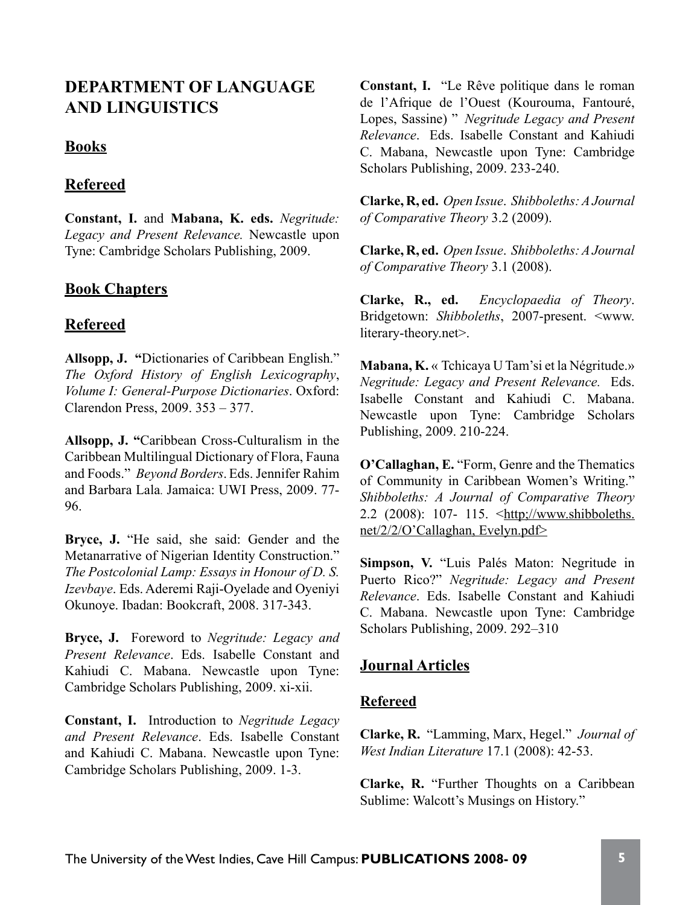## **DEPARTMENT OF LANGUAGE AND LINGUISTICS**

## **Books**

## **Refereed**

**Constant, I.** and **Mabana, K. eds.** *Negritude: Legacy and Present Relevance.* Newcastle upon Tyne: Cambridge Scholars Publishing, 2009.

## **Book Chapters**

## **Refereed**

**Allsopp, J. "**Dictionaries of Caribbean English." *The Oxford History of English Lexicography*, *Volume I: General-Purpose Dictionaries*. Oxford: Clarendon Press, 2009. 353 – 377.

**Allsopp, J. "**Caribbean Cross-Culturalism in the Caribbean Multilingual Dictionary of Flora, Fauna and Foods." *Beyond Borders*. Eds. Jennifer Rahim and Barbara Lala. Jamaica: UWI Press, 2009. 77- 96.

**Bryce, J.** "He said, she said: Gender and the Metanarrative of Nigerian Identity Construction." *The Postcolonial Lamp: Essays in Honour of D. S. Izevbaye*. Eds. Aderemi Raji-Oyelade and Oyeniyi Okunoye. Ibadan: Bookcraft, 2008. 317-343.

**Bryce, J.** Foreword to *Negritude: Legacy and Present Relevance*. Eds. Isabelle Constant and Kahiudi C. Mabana. Newcastle upon Tyne: Cambridge Scholars Publishing, 2009. xi-xii.

**Constant, I.** Introduction to *Negritude Legacy and Present Relevance*. Eds. Isabelle Constant and Kahiudi C. Mabana. Newcastle upon Tyne: Cambridge Scholars Publishing, 2009. 1-3.

**Constant, I.** "Le Rêve politique dans le roman de l'Afrique de l'Ouest (Kourouma, Fantouré, Lopes, Sassine) ". *Negritude Legacy and Present Relevance*. Eds. Isabelle Constant and Kahiudi C. Mabana, Newcastle upon Tyne: Cambridge Scholars Publishing, 2009. 233-240.

**Clarke, R, ed.** *Open Issue*. *Shibboleths: A Journal of Comparative Theory* 3.2 (2009).

**Clarke, R, ed.** *Open Issue*. *Shibboleths: A Journal of Comparative Theory* 3.1 (2008).

**Clarke, R., ed.** *Encyclopaedia of Theory*. Bridgetown: *Shibboleths*, 2007-present. <www. literary-theory.net>.

**Mabana, K.** « Tchicaya U Tam'si et la Négritude.» *Negritude: Legacy and Present Relevance.* Eds. Isabelle Constant and Kahiudi C. Mabana. Newcastle upon Tyne: Cambridge Scholars Publishing, 2009. 210-224.

**O'Callaghan, E.** "Form, Genre and the Thematics of Community in Caribbean Women's Writing." *Shibboleths: A Journal of Comparative Theory*  2.2 (2008): 107- 115. <http://www.shibboleths. net/2/2/O'Callaghan, Evelyn.pdf>

**Simpson, V.** "Luis Palés Maton: Negritude in Puerto Rico?" *Negritude: Legacy and Present Relevance*. Eds. Isabelle Constant and Kahiudi C. Mabana. Newcastle upon Tyne: Cambridge Scholars Publishing, 2009. 292–310

## **Journal Articles**

## **Refereed**

**Clarke, R.** "Lamming, Marx, Hegel." *Journal of West Indian Literature* 17.1 (2008): 42-53.

**Clarke, R.** "Further Thoughts on a Caribbean Sublime: Walcott's Musings on History."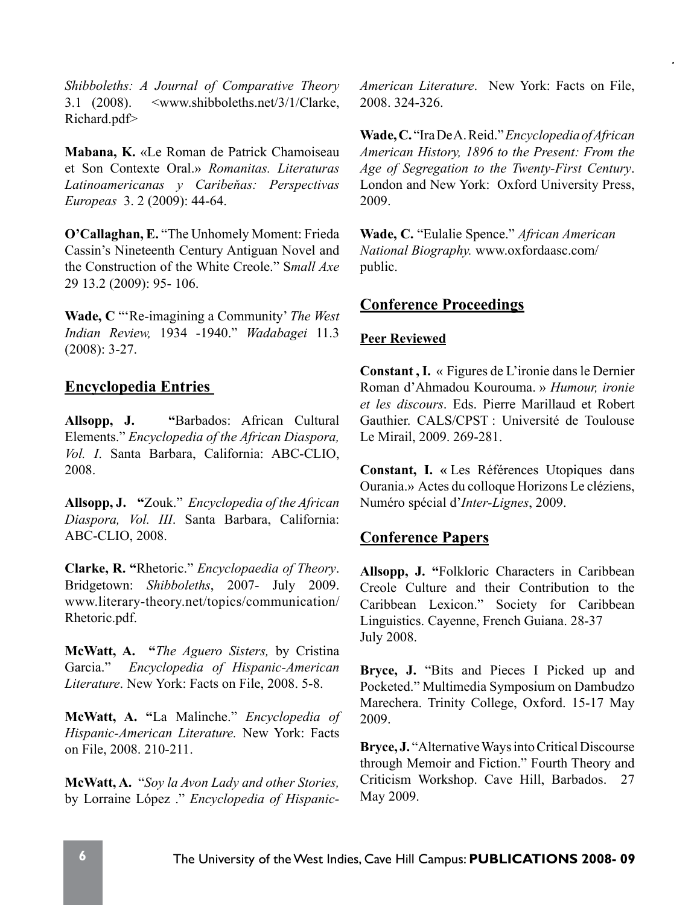*Shibboleths: A Journal of Comparative Theory* 3.1 (2008). <www.shibboleths.net/3/1/Clarke, Richard.pdf>

**Mabana, K.** «Le Roman de Patrick Chamoiseau et Son Contexte Oral.» *Romanitas. Literaturas Latinoamericanas y Caribeňas: Perspectivas Europeas* 3. 2 (2009): 44-64.

**O'Callaghan, E.** "The Unhomely Moment: Frieda Cassin's Nineteenth Century Antiguan Novel and the Construction of the White Creole." S*mall Axe* 29 13.2 (2009): 95- 106.

**Wade, C** "'Re-imagining a Community' *The West Indian Review,* 1934 -1940." *Wadabagei* 11.3 (2008): 3-27.

## **Encyclopedia Entries**

**Allsopp, J. "**Barbados: African Cultural Elements." *Encyclopedia of the African Diaspora, Vol. I*. Santa Barbara, California: ABC-CLIO, 2008.

**Allsopp, J. "**Zouk." *Encyclopedia of the African Diaspora, Vol. III*. Santa Barbara, California: ABC-CLIO, 2008.

**Clarke, R. "**Rhetoric." *Encyclopaedia of Theory*. Bridgetown: *Shibboleths*, 2007- July 2009. www.literary-theory.net/topics/communication/ Rhetoric.pdf.

**McWatt, A. "***The Aguero Sisters,* by Cristina Garcia." *Encyclopedia of Hispanic-American Literature*. New York: Facts on File, 2008. 5-8.

**McWatt, A. "**La Malinche." *Encyclopedia of Hispanic-American Literature.* New York: Facts on File, 2008. 210-211.

**McWatt, A.** "*Soy la Avon Lady and other Stories,*  by Lorraine López ." *Encyclopedia of Hispanic-* *American Literature*. New York: Facts on File, 2008. 324-326.

**Wade, C.** "IraDeA.Reid."*Encyclopedia of African American History, 1896 to the Present: From the Age of Segregation to the Twenty-First Century*. London and New York: Oxford University Press, 2009.

**Wade, C.** "Eulalie Spence." *African American National Biography.* www.oxfordaasc.com/ public.

#### **Conference Proceedings**

#### **Peer Reviewed**

**Constant , I.** « Figures de L'ironie dans le Dernier Roman d'Ahmadou Kourouma. » *Humour, ironie et les discours*. Eds. Pierre Marillaud et Robert Gauthier. CALS/CPST : Université de Toulouse Le Mirail, 2009. 269-281.

**Constant, I. «** Les Références Utopiques dans Ourania.» Actes du colloque Horizons Le cléziens, Numéro spécial d'*Inter-Lignes*, 2009.

## **Conference Papers**

**Allsopp, J. "**Folkloric Characters in Caribbean Creole Culture and their Contribution to the Caribbean Lexicon." Society for Caribbean Linguistics. Cayenne, French Guiana. 28-37 July 2008.

**Bryce, J.** "Bits and Pieces I Picked up and Pocketed." Multimedia Symposium on Dambudzo Marechera. Trinity College, Oxford. 15-17 May 2009.

**Bryce, J. "Alternative Ways into Critical Discourse"** through Memoir and Fiction." Fourth Theory and Criticism Workshop. Cave Hill, Barbados. 27 May 2009.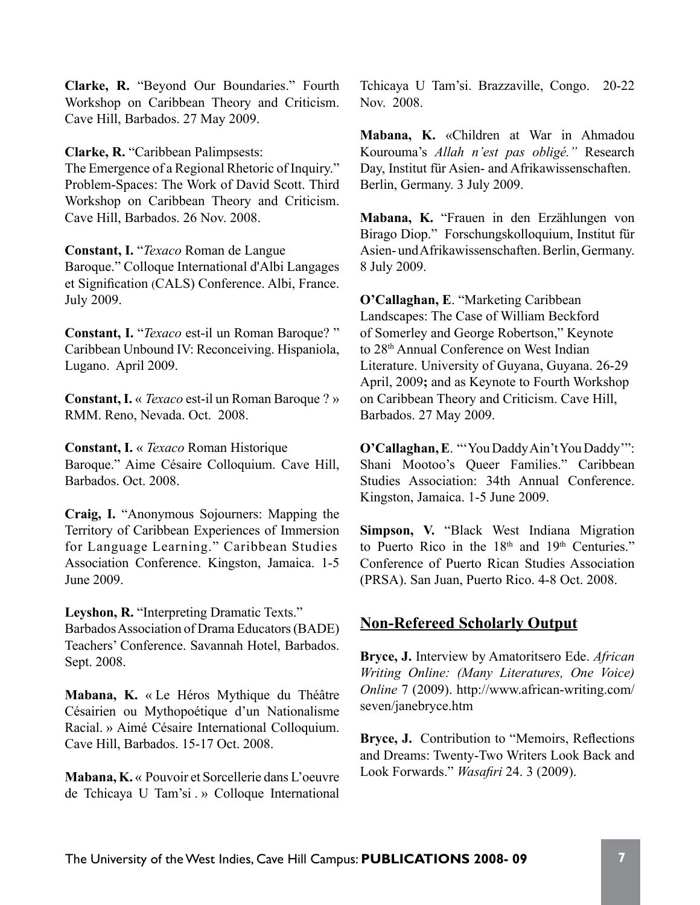**Clarke, R.** "Beyond Our Boundaries." Fourth Workshop on Caribbean Theory and Criticism. Cave Hill, Barbados. 27 May 2009.

**Clarke, R.** "Caribbean Palimpsests:

The Emergence of a Regional Rhetoric of Inquiry." Problem-Spaces: The Work of David Scott. Third Workshop on Caribbean Theory and Criticism. Cave Hill, Barbados. 26 Nov. 2008.

**Constant, I.** "*Texaco* Roman de Langue Baroque." Colloque International d'Albi Langages et Signification (CALS) Conference. Albi, France. July 2009.

**Constant, I.** "*Texaco* est-il un Roman Baroque? " Caribbean Unbound IV: Reconceiving. Hispaniola, Lugano. April 2009.

**Constant, I.** « *Texaco* est-il un Roman Baroque ? » RMM. Reno, Nevada. Oct. 2008.

**Constant, I.** « *Texaco* Roman Historique Baroque." Aime Césaire Colloquium. Cave Hill, Barbados. Oct. 2008.

**Craig, I.** "Anonymous Sojourners: Mapping the Territory of Caribbean Experiences of Immersion for Language Learning." Caribbean Studies Association Conference. Kingston, Jamaica. 1-5 June 2009.

Leyshon, R. "Interpreting Dramatic Texts." BarbadosAssociation of Drama Educators(BADE) Teachers' Conference. Savannah Hotel, Barbados. Sept. 2008.

**Mabana, K.** « Le Héros Mythique du Théâtre Césairien ou Mythopoétique d'un Nationalisme Racial. » Aimé Césaire International Colloquium. Cave Hill, Barbados. 15-17 Oct. 2008.

**Mabana, K.** « Pouvoir et Sorcellerie dans L'oeuvre de Tchicaya U Tam'si . » Colloque International Tchicaya U Tam'si. Brazzaville, Congo. 20-22 Nov. 2008.

**Mabana, K.** «Children at War in Ahmadou Kourouma's *Allah n'est pas obligé."* Research Day, Institut für Asien- and Afrikawissenschaften. Berlin, Germany. 3 July 2009.

**Mabana, K.** "Frauen in den Erzählungen von Birago Diop." Forschungskolloquium, Institut für Asien- undAfrikawissenschaften.Berlin,Germany. 8 July 2009.

**O'Callaghan, E**. "Marketing Caribbean Landscapes: The Case of William Beckford of Somerley and George Robertson," Keynote to 28th Annual Conference on West Indian Literature. University of Guyana, Guyana. 26-29 April, 2009**;** and as Keynote to Fourth Workshop on Caribbean Theory and Criticism. Cave Hill, Barbados. 27 May 2009.

**O'Callaghan, E**. "'YouDaddyAin'tYouDaddy'": Shani Mootoo's Queer Families." Caribbean Studies Association: 34th Annual Conference. Kingston, Jamaica. 1-5 June 2009.

**Simpson, V.** "Black West Indiana Migration to Puerto Rico in the  $18<sup>th</sup>$  and  $19<sup>th</sup>$  Centuries." Conference of Puerto Rican Studies Association (PRSA). San Juan, Puerto Rico. 4-8 Oct. 2008.

## **Non-Refereed Scholarly Output**

**Bryce, J.** Interview by Amatoritsero Ede. *African Writing Online: (Many Literatures, One Voice) Online* 7 (2009). http://www.african-writing.com/ seven/janebryce.htm

**Bryce, J.** Contribution to "Memoirs, Reflections and Dreams: Twenty-Two Writers Look Back and Look Forwards." *Wasafiri* 24. 3 (2009).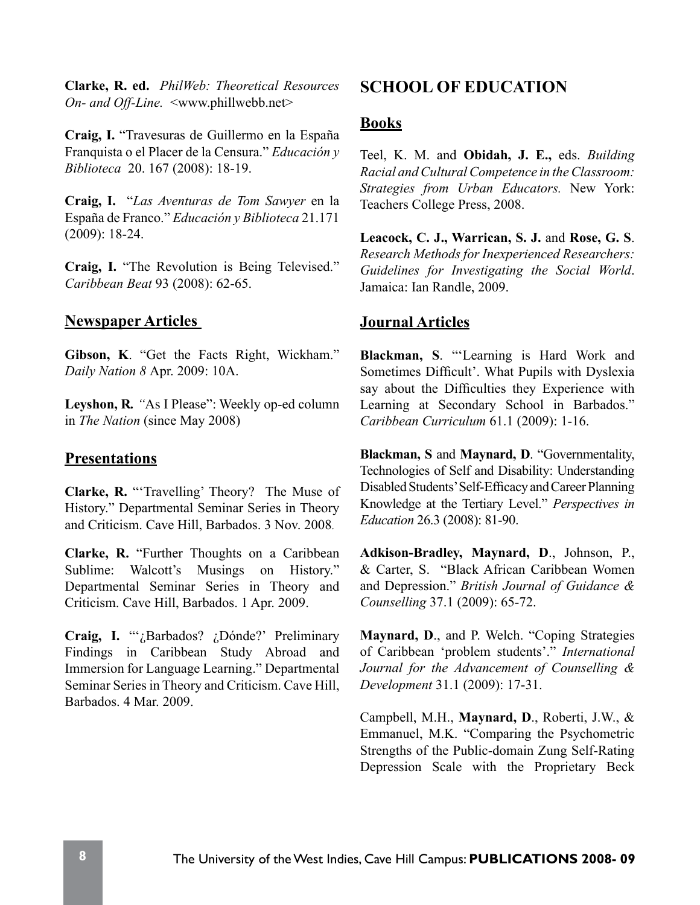**Clarke, R. ed.** *PhilWeb: Theoretical Resources On- and Off-Line.* <www.phillwebb.net>

**Craig, I.** "Travesuras de Guillermo en la España Franquista o el Placer de la Censura." *Educación y Biblioteca* 20. 167 (2008): 18-19.

**Craig, I.** "*Las Aventuras de Tom Sawyer* en la España de Franco." *Educación y Biblioteca* 21.171 (2009): 18-24.

**Craig, I.** "The Revolution is Being Televised." *Caribbean Beat* 93 (2008): 62-65.

#### **Newspaper Articles**

**Gibson, K**. "Get the Facts Right, Wickham." *Daily Nation 8* Apr. 2009: 10A.

**Leyshon, R***. "*As I Please": Weekly op-ed column in *The Nation* (since May 2008)

#### **Presentations**

**Clarke, R.** "'Travelling' Theory? The Muse of History." Departmental Seminar Series in Theory and Criticism. Cave Hill, Barbados. 3 Nov. 2008.

**Clarke, R.** "Further Thoughts on a Caribbean Sublime: Walcott's Musings on History." Departmental Seminar Series in Theory and Criticism. Cave Hill, Barbados. 1 Apr. 2009.

**Craig, I.** "'¿Barbados? ¿Dónde?' Preliminary Findings in Caribbean Study Abroad and Immersion for Language Learning." Departmental Seminar Series in Theory and Criticism. Cave Hill, Barbados. 4 Mar. 2009.

## **SCHOOL OF EDUCATION**

#### **Books**

Teel, K. M. and **Obidah, J. E.,** eds. *Building Racial and Cultural Competence in the Classroom: Strategies from Urban Educators.* New York: Teachers College Press, 2008.

**Leacock, C. J., Warrican, S. J.** and **Rose, G. S**. *Research Methods for Inexperienced Researchers: Guidelines for Investigating the Social World*. Jamaica: Ian Randle, 2009.

## **Journal Articles**

**Blackman, S**. "'Learning is Hard Work and Sometimes Difficult'. What Pupils with Dyslexia say about the Difficulties they Experience with Learning at Secondary School in Barbados." *Caribbean Curriculum* 61.1 (2009): 1-16.

**Blackman, S** and **Maynard, D**. "Governmentality, Technologies of Self and Disability: Understanding Disabled Students' Self-Efficacy and Career Planning Knowledge at the Tertiary Level." *Perspectives in Education* 26.3 (2008): 81-90.

**Adkison-Bradley, Maynard, D**., Johnson, P., & Carter, S. "Black African Caribbean Women and Depression." *British Journal of Guidance & Counselling* 37.1 (2009): 65-72.

**Maynard, D**., and P. Welch. "Coping Strategies of Caribbean 'problem students'." *International Journal for the Advancement of Counselling & Development* 31.1 (2009): 17-31.

Campbell, M.H., **Maynard, D**., Roberti, J.W., & Emmanuel, M.K. "Comparing the Psychometric Strengths of the Public-domain Zung Self-Rating Depression Scale with the Proprietary Beck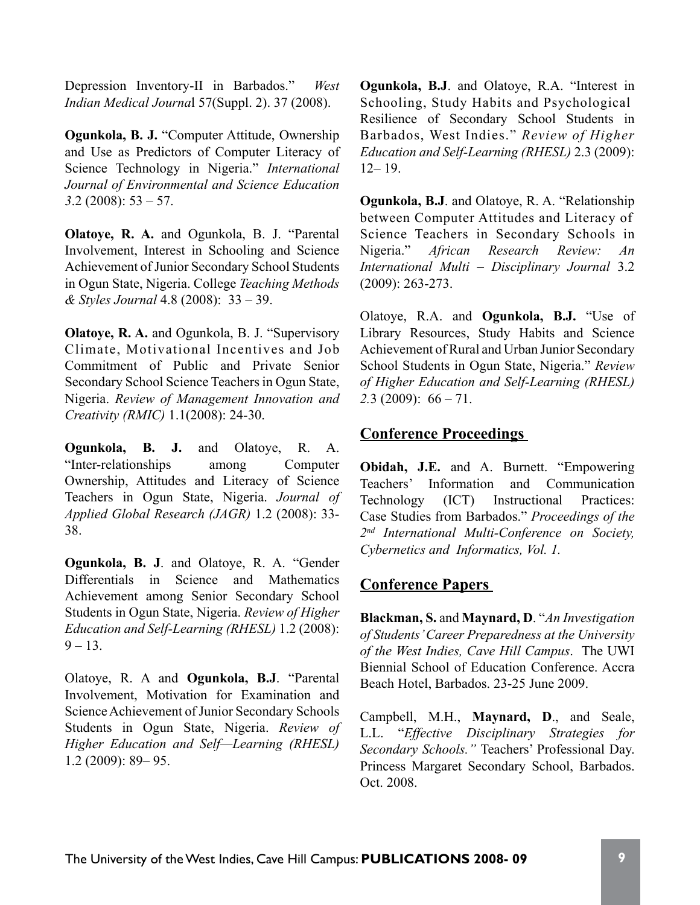Depression Inventory-II in Barbados." *West Indian Medical Journa*l 57(Suppl. 2). 37 (2008).

**Ogunkola, B. J.** "Computer Attitude, Ownership and Use as Predictors of Computer Literacy of Science Technology in Nigeria." *International Journal of Environmental and Science Education 3*.2 (2008): 53 – 57.

**Olatoye, R. A.** and Ogunkola, B. J. "Parental Involvement, Interest in Schooling and Science Achievement ofJunior Secondary School Students in Ogun State, Nigeria. College *Teaching Methods & Styles Journal* 4.8 (2008): 33 – 39.

**Olatoye, R. A.** and Ogunkola, B. J. "Supervisory Climate, Motivational Incentives and Job Commitment of Public and Private Senior Secondary School Science Teachers in Ogun State, Nigeria. *Review of Management Innovation and Creativity (RMIC)* 1.1(2008): 24-30.

**Ogunkola, B. J.** and Olatoye, R. A. "Inter-relationships among Computer Ownership, Attitudes and Literacy of Science Teachers in Ogun State, Nigeria. *Journal of Applied Global Research (JAGR)* 1.2 (2008): 33- 38.

**Ogunkola, B. J**. and Olatoye, R. A. "Gender Differentials in Science and Mathematics Achievement among Senior Secondary School Students in Ogun State, Nigeria. *Review of Higher Education and Self-Learning (RHESL)* 1.2 (2008):  $9 - 13$ .

Olatoye, R. A and **Ogunkola, B.J**. "Parental Involvement, Motivation for Examination and Science Achievement of Junior Secondary Schools Students in Ogun State, Nigeria. *Review of Higher Education and Self—Learning (RHESL)*  1.2 (2009): 89– 95.

**Ogunkola, B.J**. and Olatoye, R.A. "Interest in Schooling, Study Habits and Psychological Resilience of Secondary School Students in Barbados, West Indies." *Review of Higher Education and Self-Learning (RHESL)* 2.3 (2009): 12– 19.

**Ogunkola, B.J**. and Olatoye, R. A. "Relationship between Computer Attitudes and Literacy of Science Teachers in Secondary Schools in Nigeria." *African Research Review: An International Multi – Disciplinary Journal* 3.2 (2009): 263-273.

Olatoye, R.A. and **Ogunkola, B.J.** "Use of Library Resources, Study Habits and Science Achievement of Rural and Urban Junior Secondary School Students in Ogun State, Nigeria." *Review of Higher Education and Self-Learning (RHESL) 2.*3 (2009): 66 – 71.

## **Conference Proceedings**

**Obidah, J.E.** and A. Burnett. "Empowering Teachers' Information and Communication Technology (ICT) Instructional Practices: Case Studies from Barbados." *Proceedings of the 2nd International Multi-Conference on Society, Cybernetics and Informatics, Vol. 1.* 

## **Conference Papers**

**Blackman, S.** and **Maynard, D**. "*An Investigation of Students' Career Preparedness at the University of the West Indies, Cave Hill Campus*. The UWI Biennial School of Education Conference. Accra Beach Hotel, Barbados. 23-25 June 2009.

Campbell, M.H., **Maynard, D**., and Seale, L.L. "*Effective Disciplinary Strategies for Secondary Schools."* Teachers' Professional Day. Princess Margaret Secondary School, Barbados. Oct. 2008.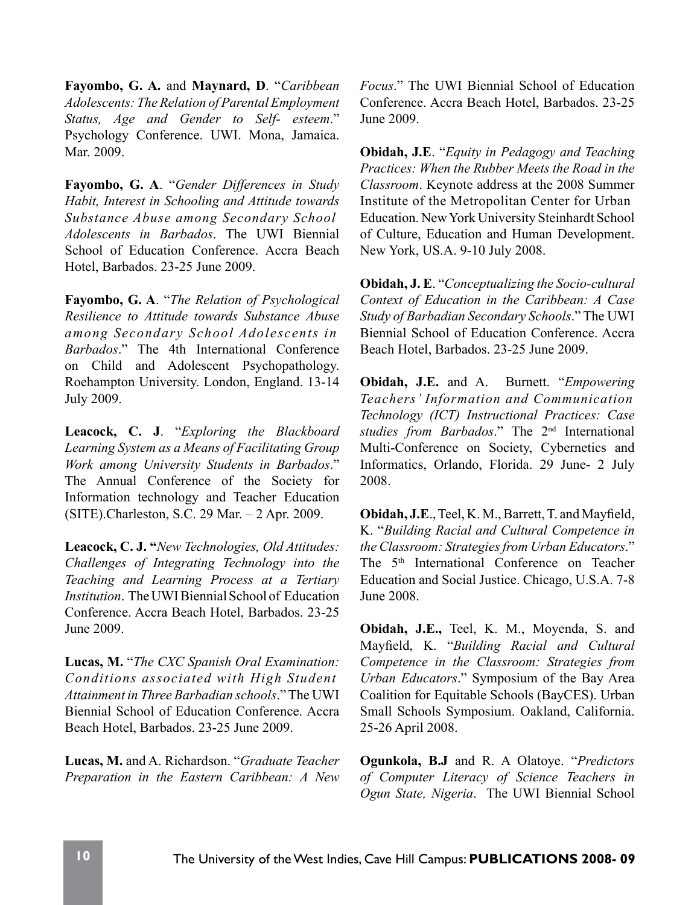**Fayombo, G. A.** and **Maynard, D**. "*Caribbean Adolescents: The Relation of Parental Employment Status, Age and Gender to Self- esteem*." Psychology Conference. UWI. Mona, Jamaica. Mar. 2009.

**Fayombo, G. A**. "*Gender Differences in Study Habit, Interest in Schooling and Attitude towards Substance Abuse among Secondary School Adolescents in Barbados*. The UWI Biennial School of Education Conference. Accra Beach Hotel, Barbados. 23-25 June 2009.

**Fayombo, G. A**. "*The Relation of Psychological Resilience to Attitude towards Substance Abuse among Secondary School Adolescents in Barbados*." The 4th International Conference on Child and Adolescent Psychopathology. Roehampton University. London, England. 13-14 July 2009.

**Leacock, C. J**. "*Exploring the Blackboard Learning System as a Means of Facilitating Group Work among University Students in Barbados*." The Annual Conference of the Society for Information technology and Teacher Education (SITE).Charleston, S.C. 29 Mar. – 2 Apr. 2009.

**Leacock, C. J. "***New Technologies, Old Attitudes: Challenges of Integrating Technology into the Teaching and Learning Process at a Tertiary Institution*. The UWI Biennial School of Education Conference. Accra Beach Hotel, Barbados. 23-25 June 2009.

**Lucas, M.** "*The CXC Spanish Oral Examination: Conditions associated with High Student Attainment in Three Barbadian schools*." The UWI Biennial School of Education Conference. Accra Beach Hotel, Barbados. 23-25 June 2009.

**Lucas, M.** and A. Richardson. "*Graduate Teacher Preparation in the Eastern Caribbean: A New*  *Focus*." The UWI Biennial School of Education Conference. Accra Beach Hotel, Barbados. 23-25 June 2009.

**Obidah, J.E**. "*Equity in Pedagogy and Teaching Practices: When the Rubber Meets the Road in the Classroom*. Keynote address at the 2008 Summer Institute of the Metropolitan Center for Urban Education. NewYork University Steinhardt School of Culture, Education and Human Development. New York, US.A. 9-10 July 2008.

**Obidah, J. E**. "*Conceptualizing the Socio-cultural Context of Education in the Caribbean: A Case Study of Barbadian Secondary Schools*." The UWI Biennial School of Education Conference. Accra Beach Hotel, Barbados. 23-25 June 2009.

**Obidah, J.E.** and A. Burnett. "*Empowering Teachers' Information and Communication Technology (ICT) Instructional Practices: Case studies from Barbados*." The 2nd International Multi-Conference on Society, Cybernetics and Informatics, Orlando, Florida. 29 June- 2 July 2008.

**Obidah, J.E**., Teel, K. M., Barrett, T. and Mayfield, K. "*Building Racial and Cultural Competence in the Classroom: Strategies from Urban Educators*." The 5<sup>th</sup> International Conference on Teacher Education and Social Justice. Chicago, U.S.A. 7-8 June 2008.

**Obidah, J.E.,** Teel, K. M., Moyenda, S. and Mayfield, K. "*Building Racial and Cultural Competence in the Classroom: Strategies from Urban Educators*." Symposium of the Bay Area Coalition for Equitable Schools (BayCES). Urban Small Schools Symposium. Oakland, California. 25-26 April 2008.

**Ogunkola, B.J** and R. A Olatoye. "*Predictors of Computer Literacy of Science Teachers in Ogun State, Nigeria*. The UWI Biennial School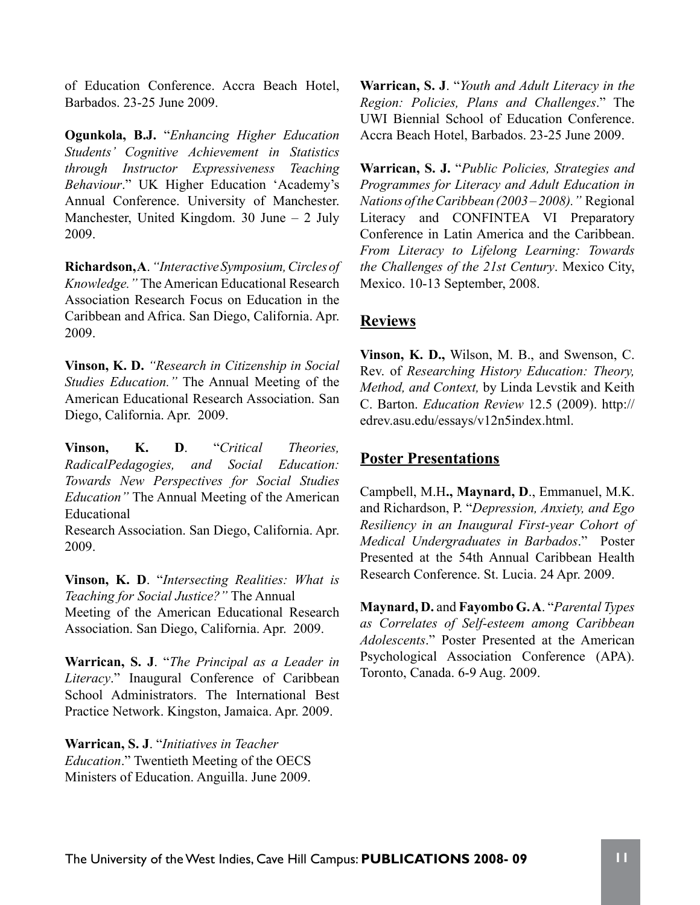of Education Conference. Accra Beach Hotel, Barbados. 23-25 June 2009.

**Ogunkola, B.J.** "*Enhancing Higher Education Students' Cognitive Achievement in Statistics through Instructor Expressiveness Teaching Behaviour*." UK Higher Education 'Academy's Annual Conference. University of Manchester. Manchester, United Kingdom. 30 June – 2 July 2009.

**Richardson, A**.*"Interactive Symposium, Circles of Knowledge."* The American Educational Research Association Research Focus on Education in the Caribbean and Africa. San Diego, California. Apr. 2009.

**Vinson, K. D.** *"Research in Citizenship in Social Studies Education."* The Annual Meeting of the American Educational Research Association. San Diego, California. Apr. 2009.

**Vinson, K. D**. "*Critical Theories, RadicalPedagogies, and Social Education: Towards New Perspectives for Social Studies Education"* The Annual Meeting of the American Educational

Research Association. San Diego, California. Apr. 2009.

**Vinson, K. D**. "*Intersecting Realities: What is Teaching for Social Justice?"* The Annual Meeting of the American Educational Research Association. San Diego, California. Apr. 2009.

**Warrican, S. J**. "*The Principal as a Leader in Literacy*." Inaugural Conference of Caribbean School Administrators. The International Best Practice Network. Kingston, Jamaica. Apr. 2009.

**Warrican, S. J**. "*Initiatives in Teacher Education*." Twentieth Meeting of the OECS Ministers of Education. Anguilla. June 2009. **Warrican, S. J**. "*Youth and Adult Literacy in the Region: Policies, Plans and Challenges*." The UWI Biennial School of Education Conference. Accra Beach Hotel, Barbados. 23-25 June 2009.

**Warrican, S. J.** "*Public Policies, Strategies and Programmes for Literacy and Adult Education in Nations of the Caribbean (2003 – 2008)."* Regional Literacy and CONFINTEA VI Preparatory Conference in Latin America and the Caribbean. *From Literacy to Lifelong Learning: Towards the Challenges of the 21st Century*. Mexico City, Mexico. 10-13 September, 2008.

## **Reviews**

**Vinson, K. D.,** Wilson, M. B., and Swenson, C. Rev. of *Researching History Education: Theory, Method, and Context,* by Linda Levstik and Keith C. Barton. *Education Review* 12.5 (2009). http:// edrev.asu.edu/essays/v12n5index.html.

## **Poster Presentations**

Campbell, M.H**., Maynard, D**., Emmanuel, M.K. and Richardson, P. "*Depression, Anxiety, and Ego Resiliency in an Inaugural First-year Cohort of Medical Undergraduates in Barbados*." Poster Presented at the 54th Annual Caribbean Health Research Conference. St. Lucia. 24 Apr. 2009.

**Maynard, D.** and **Fayombo G. A**. "*Parental Types as Correlates of Self-esteem among Caribbean Adolescents*." Poster Presented at the American Psychological Association Conference (APA). Toronto, Canada. 6-9 Aug. 2009.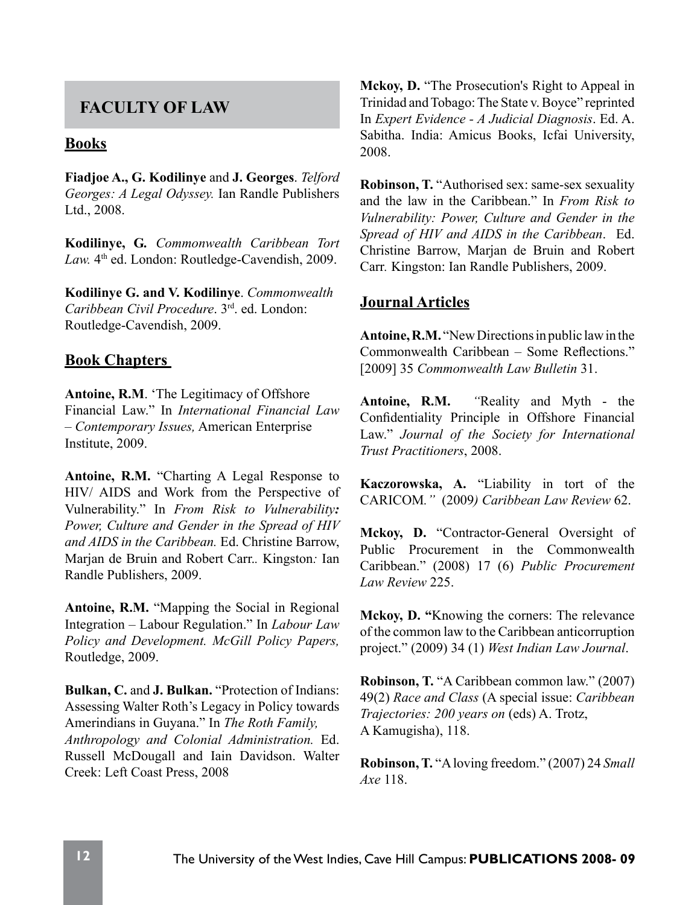## **FACULTY OF LAW**

## **Books**

**Fiadjoe A., G. Kodilinye** and **J. Georges**. *Telford Georges: A Legal Odyssey.* Ian Randle Publishers Ltd., 2008.

**Kodilinye, G***. Commonwealth Caribbean Tort*  Law. 4<sup>th</sup> ed. London: Routledge-Cavendish, 2009.

**Kodilinye G. and V. Kodilinye**. *Commonwealth Caribbean Civil Procedure*. 3rd. ed. London: Routledge-Cavendish, 2009.

## **Book Chapters**

**Antoine, R.M**. 'The Legitimacy of Offshore Financial Law." In *International Financial Law – Contemporary Issues,* American Enterprise Institute, 2009.

**Antoine, R.M.** "Charting A Legal Response to HIV/ AIDS and Work from the Perspective of Vulnerability." In *From Risk to Vulnerability: Power, Culture and Gender in the Spread of HIV and AIDS in the Caribbean.* Ed. Christine Barrow, Marjan de Bruin and Robert Carr.*.* Kingston*:* Ian Randle Publishers, 2009.

**Antoine, R.M.** "Mapping the Social in Regional Integration – Labour Regulation." In *Labour Law Policy and Development. McGill Policy Papers,*  Routledge, 2009.

**Bulkan, C.** and **J. Bulkan.** "Protection of Indians: Assessing Walter Roth's Legacy in Policy towards Amerindians in Guyana." In *The Roth Family, Anthropology and Colonial Administration.* Ed. Russell McDougall and Iain Davidson. Walter Creek: Left Coast Press, 2008

**Mckoy, D.** "The Prosecution's Right to Appeal in Trinidad and Tobago: The State v. Boyce" reprinted In *Expert Evidence - A Judicial Diagnosis*. Ed. A. Sabitha. India: Amicus Books, Icfai University, 2008.

**Robinson, T.** "Authorised sex: same-sex sexuality and the law in the Caribbean." In *From Risk to Vulnerability: Power, Culture and Gender in the Spread of HIV and AIDS in the Caribbean*. Ed. Christine Barrow, Marjan de Bruin and Robert Carr*.* Kingston: Ian Randle Publishers, 2009.

## **Journal Articles**

**Antoine, R.M.** "NewDirectionsin public lawin the Commonwealth Caribbean – Some Reflections." [2009] 35 *Commonwealth Law Bulletin* 31.

**Antoine, R.M.** *"*Reality and Myth - the Confidentiality Principle in Offshore Financial Law." *Journal of the Society for International Trust Practitioners*, 2008.

**Kaczorowska, A.** "Liability in tort of the CARICOM*."* (2009*) Caribbean Law Review* 62.

**Mckoy, D.** "Contractor-General Oversight of Public Procurement in the Commonwealth Caribbean." (2008) 17 (6) *Public Procurement Law Review* 225.

**Mckoy, D. "**Knowing the corners: The relevance of the common law to the Caribbean anticorruption project." (2009) 34 (1) *West Indian Law Journal*.

**Robinson, T.** "A Caribbean common law." (2007) 49(2) *Race and Class* (A special issue: *Caribbean Trajectories: 200 years on* (eds) A. Trotz, A Kamugisha), 118.

**Robinson, T.** "Aloving freedom." (2007) 24 *Small Axe* 118.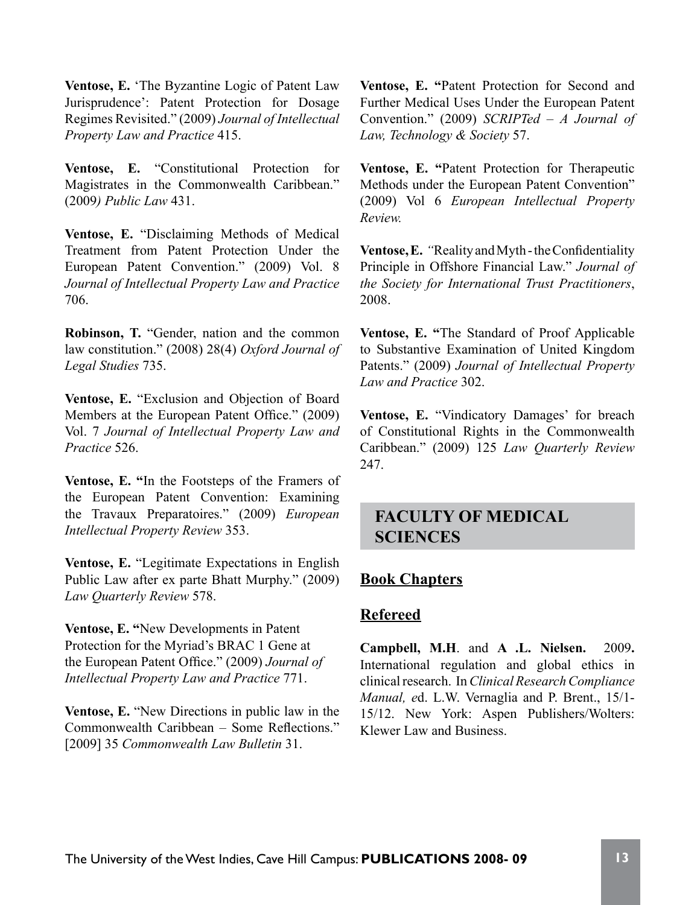**Ventose, E.** 'The Byzantine Logic of Patent Law Jurisprudence': Patent Protection for Dosage Regimes Revisited." (2009) *Journal of Intellectual Property Law and Practice* 415.

**Ventose, E.** "Constitutional Protection for Magistrates in the Commonwealth Caribbean." (2009*) Public Law* 431.

**Ventose, E.** "Disclaiming Methods of Medical Treatment from Patent Protection Under the European Patent Convention." (2009) Vol. 8 *Journal of Intellectual Property Law and Practice* 706.

**Robinson, T.** "Gender, nation and the common law constitution." (2008) 28(4) *Oxford Journal of Legal Studies* 735.

**Ventose, E.** "Exclusion and Objection of Board Members at the European Patent Office." (2009) Vol. 7 *Journal of Intellectual Property Law and Practice* 526.

**Ventose, E. "**In the Footsteps of the Framers of the European Patent Convention: Examining the Travaux Preparatoires." (2009) *European Intellectual Property Review* 353.

**Ventose, E.** "Legitimate Expectations in English Public Law after ex parte Bhatt Murphy." (2009) *Law Quarterly Review* 578.

**Ventose, E. "**New Developments in Patent Protection for the Myriad's BRAC 1 Gene at the European Patent Office." (2009) *Journal of Intellectual Property Law and Practice* 771.

**Ventose, E.** "New Directions in public law in the Commonwealth Caribbean – Some Reflections." [2009] 35 *Commonwealth Law Bulletin* 31.

**Ventose, E. "**Patent Protection for Second and Further Medical Uses Under the European Patent Convention." (2009) *SCRIPTed – A Journal of Law, Technology & Society* 57.

**Ventose, E. "**Patent Protection for Therapeutic Methods under the European Patent Convention" (2009) Vol 6 *European Intellectual Property Review.*

**Ventose, E.** *"*Reality and Myth - the Confidentiality Principle in Offshore Financial Law." *Journal of the Society for International Trust Practitioners*, 2008.

**Ventose, E. "**The Standard of Proof Applicable to Substantive Examination of United Kingdom Patents." (2009) *Journal of Intellectual Property Law and Practice* 302.

**Ventose, E.** "Vindicatory Damages' for breach of Constitutional Rights in the Commonwealth Caribbean." (2009) 125 *Law Quarterly Review* 247.

## **FACULTY OF MEDICAL SCIENCES**

## **Book Chapters**

## **Refereed**

**Campbell, M.H**. and **A .L. Nielsen.** 2009**.**  International regulation and global ethics in clinical research. In *Clinical Research Compliance Manual, e*d. L.W. Vernaglia and P. Brent., 15/1- 15/12. New York: Aspen Publishers/Wolters: Klewer Law and Business.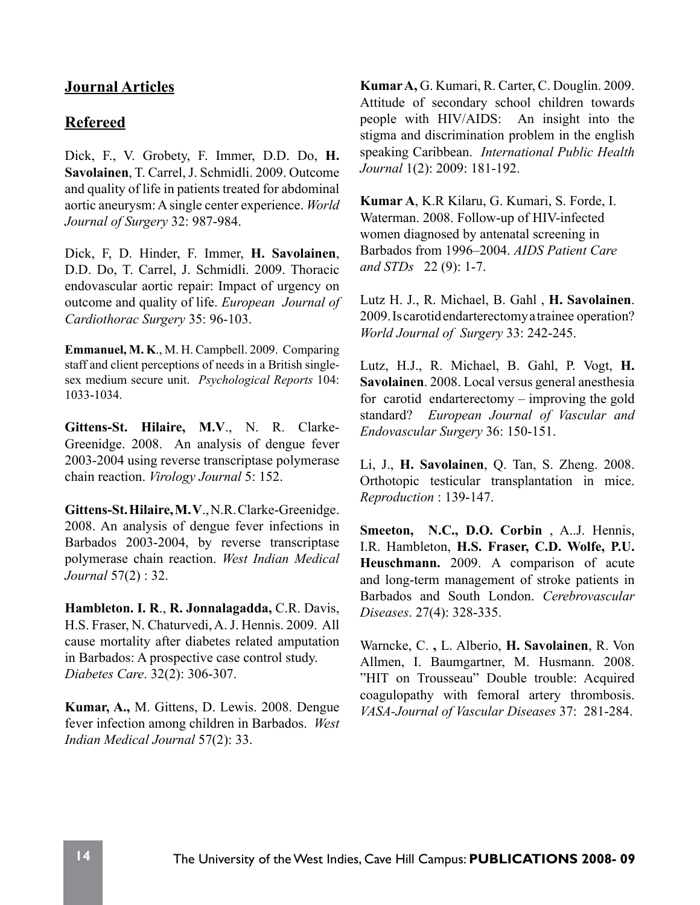## **Journal Articles**

#### **Refereed**

Dick, F., V. Grobety, F. Immer, D.D. Do, **H. Savolainen**, T. Carrel, J. Schmidli. 2009. Outcome and quality of life in patients treated for abdominal aortic aneurysm:Asingle center experience. *World Journal of Surgery* 32: 987-984.

Dick, F, D. Hinder, F. Immer, **H. Savolainen**, D.D. Do, T. Carrel, J. Schmidli. 2009. Thoracic endovascular aortic repair: Impact of urgency on outcome and quality of life. *European Journal of Cardiothorac Surgery* 35: 96-103.

**Emmanuel, M. K**., M. H. Campbell. 2009. Comparing staff and client perceptions of needs in a British singlesex medium secure unit. *Psychological Reports* 104: 1033-1034.

**Gittens-St. Hilaire, M.V**., N. R. Clarke-Greenidge. 2008. An analysis of dengue fever 2003-2004 using reverse transcriptase polymerase chain reaction. *Virology Journal* 5: 152.

**Gittens-St. Hilaire, M. V**.,N.R.Clarke-Greenidge. 2008. An analysis of dengue fever infections in Barbados 2003-2004, by reverse transcriptase polymerase chain reaction. *West Indian Medical Journal* 57(2) : 32.

**Hambleton. I. R**., **R. Jonnalagadda,** C.R. Davis, H.S. Fraser, N. Chaturvedi,A. J. Hennis. 2009. All cause mortality after diabetes related amputation in Barbados: A prospective case control study. *Diabetes Care*. 32(2): 306-307.

**Kumar, A.,** M. Gittens, D. Lewis. 2008. Dengue fever infection among children in Barbados. *West Indian Medical Journal* 57(2): 33.

**Kumar A,** G. Kumari, R. Carter, C. Douglin. 2009. Attitude of secondary school children towards people with HIV/AIDS: An insight into the stigma and discrimination problem in the english speaking Caribbean. *International Public Health Journal* 1(2): 2009: 181-192.

**Kumar A**, K.R Kilaru, G. Kumari, S. Forde, I. Waterman. 2008. Follow-up of HIV-infected women diagnosed by antenatal screening in Barbados from 1996–2004. *AIDS Patient Care and STDs* 22 (9): 1-7.

Lutz H. J., R. Michael, B. Gahl , **H. Savolainen**. 2009.Iscarotidendarterectomyatrainee operation? *World Journal of Surgery* 33: 242-245.

Lutz, H.J., R. Michael, B. Gahl, P. Vogt, **H. Savolainen**. 2008. Local versus general anesthesia for carotid endarterectomy – improving the gold standard? *European Journal of Vascular and Endovascular Surgery* 36: 150-151.

Li, J., **H. Savolainen**, Q. Tan, S. Zheng. 2008. Orthotopic testicular transplantation in mice. *Reproduction* : 139-147.

**Smeeton, N.C., D.O. Corbin** , A..J. Hennis, I.R. Hambleton, **H.S. Fraser, C.D. Wolfe, P.U. Heuschmann.** 2009. A comparison of acute and long-term management of stroke patients in Barbados and South London. *Cerebrovascular Diseases*. 27(4): 328-335.

Warncke, C. **,** L. Alberio, **H. Savolainen**, R. Von Allmen, I. Baumgartner, M. Husmann. 2008. "HIT on Trousseau" Double trouble: Acquired coagulopathy with femoral artery thrombosis. *VASA-Journal of Vascular Diseases* 37: 281-284.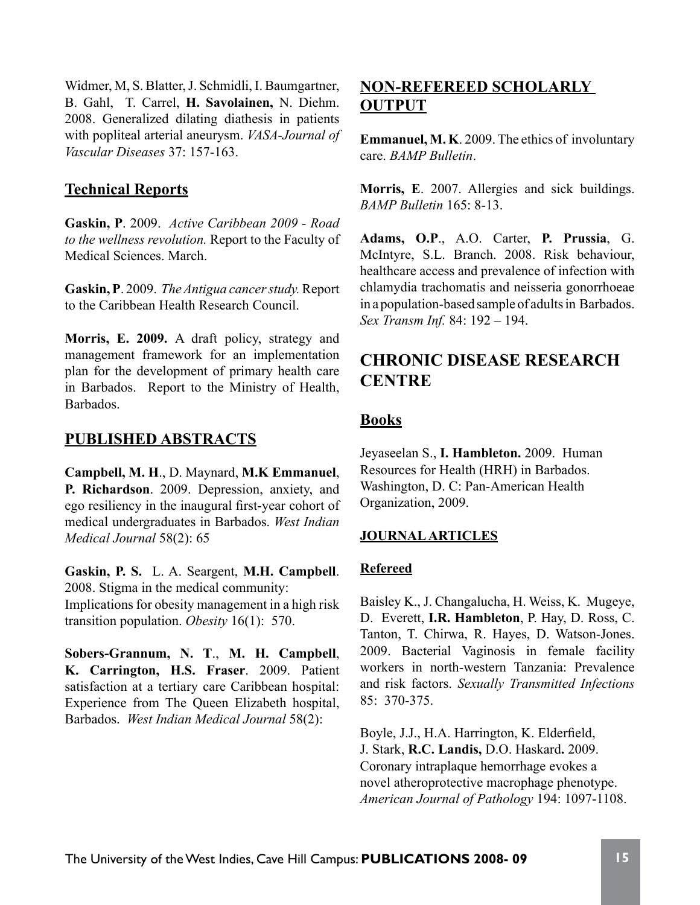Widmer, M, S. Blatter, J. Schmidli, I. Baumgartner, B. Gahl, T. Carrel, **H. Savolainen,** N. Diehm. 2008. Generalized dilating diathesis in patients with popliteal arterial aneurysm. *VASA-Journal of Vascular Diseases* 37: 157-163.

## **Technical Reports**

**Gaskin, P**. 2009. *Active Caribbean 2009 - Road to the wellness revolution.* Report to the Faculty of Medical Sciences. March.

**Gaskin, P**. 2009. *The Antigua cancer study.*Report to the Caribbean Health Research Council.

**Morris, E. 2009.** A draft policy, strategy and management framework for an implementation plan for the development of primary health care in Barbados. Report to the Ministry of Health, Barbados.

## **PUBLISHED ABSTRACTS**

**Campbell, M. H**., D. Maynard, **M.K Emmanuel**, **P. Richardson**. 2009. Depression, anxiety, and ego resiliency in the inaugural first-year cohort of medical undergraduates in Barbados. *West Indian Medical Journal* 58(2): 65

**Gaskin, P. S.** L. A. Seargent, **M.H. Campbell**. 2008. Stigma in the medical community: Implications for obesity management in a high risk transition population. *Obesity* 16(1): 570.

**Sobers-Grannum, N. T**., **M. H. Campbell**, **K. Carrington, H.S. Fraser**. 2009. Patient satisfaction at a tertiary care Caribbean hospital: Experience from The Queen Elizabeth hospital, Barbados. *West Indian Medical Journal* 58(2):

## **NON-REFEREED SCHOLARLY OUTPUT**

**Emmanuel, M. K**. 2009.The ethics of involuntary care. *BAMP Bulletin*.

**Morris, E**. 2007. Allergies and sick buildings. *BAMP Bulletin* 165: 8-13.

**Adams, O.P**., A.O. Carter, **P. Prussia**, G. McIntyre, S.L. Branch. 2008. Risk behaviour, healthcare access and prevalence of infection with chlamydia trachomatis and neisseria gonorrhoeae in a population-based sample of adultsin Barbados. *Sex Transm Inf.* 84: 192 – 194.

## **CHRONIC DISEASE RESEARCH CENTRE**

#### **Books**

Jeyaseelan S., **I. Hambleton.** 2009. Human Resources for Health (HRH) in Barbados. Washington, D. C: Pan-American Health Organization, 2009.

#### **JOURNAL ARTICLES**

#### **Refereed**

Baisley K., J. Changalucha, H. Weiss, K. Mugeye, D. Everett, **I.R. Hambleton**, P. Hay, D. Ross, C. Tanton, T. Chirwa, R. Hayes, D. Watson-Jones. 2009. Bacterial Vaginosis in female facility workers in north-western Tanzania: Prevalence and risk factors. *Sexually Transmitted Infections* 85: 370-375.

Boyle, J.J., H.A. Harrington, K. Elderfield, J. Stark, **R.C. Landis,** D.O. Haskard**.** 2009. Coronary intraplaque hemorrhage evokes a novel atheroprotective macrophage phenotype. *American Journal of Pathology* 194: 1097-1108.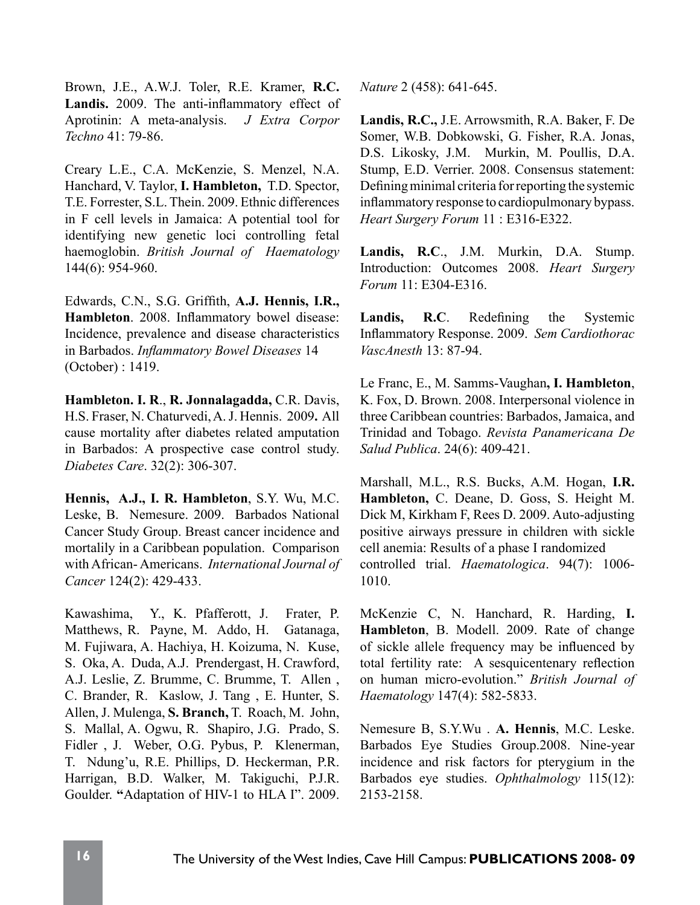Brown, J.E., A.W.J. Toler, R.E. Kramer, **R.C. Landis.** 2009. The anti-inflammatory effect of Aprotinin: A meta-analysis. *J Extra Corpor Techno* 41: 79-86.

Creary L.E., C.A. McKenzie, S. Menzel, N.A. Hanchard, V. Taylor, **I. Hambleton,** T.D. Spector, T.E. Forrester, S.L. Thein. 2009. Ethnic differences in F cell levels in Jamaica: A potential tool for identifying new genetic loci controlling fetal haemoglobin. *British Journal of Haematology* 144(6): 954-960.

Edwards, C.N., S.G. Griffith, **A.J. Hennis, I.R., Hambleton**. 2008. Inflammatory bowel disease: Incidence, prevalence and disease characteristics in Barbados. *Inflammatory Bowel Diseases* 14 (October) : 1419.

**Hambleton. I. R**., **R. Jonnalagadda,** C.R. Davis, H.S. Fraser, N. Chaturvedi,A.J. Hennis. 2009**.** All cause mortality after diabetes related amputation in Barbados: A prospective case control study. *Diabetes Care*. 32(2): 306-307.

**Hennis, A.J., I. R. Hambleton**, S.Y. Wu, M.C. Leske, B. Nemesure. 2009.Barbados National Cancer Study Group. Breast cancer incidence and mortalily in a Caribbean population. Comparison with African- Americans. *International Journal of Cancer* 124(2): 429-433.

Kawashima, Y., K. Pfafferott, J. Frater, P. Matthews, R. Payne, M. Addo, H. Gatanaga, M. Fujiwara, A. Hachiya, H. Koizuma, N. Kuse, S. Oka, A. Duda, A.J. Prendergast, H. Crawford, A.J. Leslie, Z. Brumme, C. Brumme, T. Allen , C. Brander, R. Kaslow, J. Tang , E. Hunter, S. Allen, J. Mulenga, **S. Branch,** T. Roach, M. John, S. Mallal, A. Ogwu, R. Shapiro, J.G. Prado, S. Fidler , J. Weber, O.G. Pybus, P. Klenerman, T. Ndung'u, R.E. Phillips, D. Heckerman, P.R. Harrigan, B.D. Walker, M. Takiguchi, P.J.R. Goulder. **"**Adaptation of HIV-1 to HLA I". 2009. *Nature* 2 (458): 641-645.

**Landis, R.C.,** J.E. Arrowsmith, R.A. Baker, F. De Somer, W.B. Dobkowski, G. Fisher, R.A. Jonas, D.S. Likosky, J.M. Murkin, M. Poullis, D.A. Stump, E.D. Verrier. 2008. Consensus statement: Defining minimal criteria for reporting the systemic inflammatory response to cardiopulmonary bypass. *Heart Surgery Forum* 11 : E316-E322.

**Landis, R.C**., J.M. Murkin, D.A. Stump. Introduction: Outcomes 2008. *Heart Surgery Forum* 11: E304-E316.

**Landis, R.C**. Redefining the Systemic Inflammatory Response. 2009. *Sem Cardiothorac VascAnesth* 13: 87-94.

Le Franc, E., M. Samms-Vaughan**, I. Hambleton**, K. Fox, D. Brown. 2008. Interpersonal violence in three Caribbean countries: Barbados, Jamaica, and Trinidad and Tobago. *Revista Panamericana De Salud Publica*. 24(6): 409-421.

Marshall, M.L., R.S. Bucks, A.M. Hogan, **I.R. Hambleton,** C. Deane, D. Goss, S. Height M. Dick M, Kirkham F, Rees D. 2009. Auto-adjusting positive airways pressure in children with sickle cell anemia: Results of a phase I randomized controlled trial. *Haematologica*. 94(7): 1006- 1010.

McKenzie C, N. Hanchard, R. Harding, **I. Hambleton**, B. Modell. 2009. Rate of change of sickle allele frequency may be influenced by total fertility rate: A sesquicentenary reflection on human micro-evolution." *British Journal of Haematology* 147(4): 582-5833.

Nemesure B, S.Y.Wu . **A. Hennis**, M.C. Leske. Barbados Eye Studies Group.2008. Nine-year incidence and risk factors for pterygium in the Barbados eye studies. *Ophthalmology* 115(12): 2153-2158.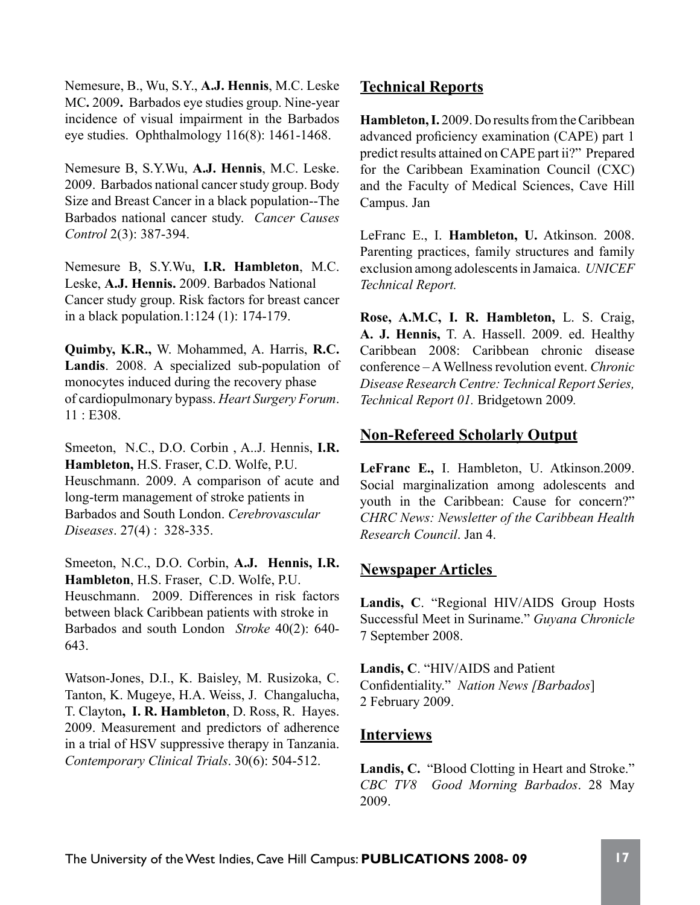Nemesure, B., Wu, S.Y., **A.J. Hennis**, M.C. Leske MC**.** 2009**.** Barbados eye studies group. Nine-year incidence of visual impairment in the Barbados eye studies. Ophthalmology 116(8): 1461-1468.

Nemesure B, S.Y.Wu, **A.J. Hennis**, M.C. Leske. 2009. Barbados national cancer study group. Body Size and Breast Cancer in a black population--The Barbados national cancer study. *Cancer Causes Control* 2(3): 387-394.

Nemesure B, S.Y.Wu, **I.R. Hambleton**, M.C. Leske, **A.J. Hennis.** 2009. Barbados National Cancer study group. Risk factors for breast cancer in a black population.1:124 (1): 174-179.

**Quimby, K.R.,** W. Mohammed, A. Harris, **R.C. Landis**. 2008. A specialized sub-population of monocytes induced during the recovery phase of cardiopulmonary bypass. *Heart Surgery Forum*. 11 : E308.

Smeeton, N.C., D.O. Corbin , A..J. Hennis, **I.R. Hambleton,** H.S. Fraser, C.D. Wolfe, P.U. Heuschmann. 2009. A comparison of acute and long-term management of stroke patients in Barbados and South London. *Cerebrovascular Diseases*. 27(4) : 328-335.

Smeeton, N.C., D.O. Corbin, **A.J. Hennis, I.R. Hambleton**, H.S. Fraser, C.D. Wolfe, P.U. Heuschmann. 2009. Differences in risk factors between black Caribbean patients with stroke in Barbados and south London *Stroke* 40(2): 640- 643.

Watson-Jones, D.I., K. Baisley, M. Rusizoka, C. Tanton, K. Mugeye, H.A. Weiss, J. Changalucha, T. Clayton**, I. R. Hambleton**, D. Ross, R. Hayes. 2009. Measurement and predictors of adherence in a trial of HSV suppressive therapy in Tanzania. *Contemporary Clinical Trials*. 30(6): 504-512.

## **Technical Reports**

**Hambleton, I.** 2009. Do results from the Caribbean advanced proficiency examination (CAPE) part 1 predict results attained on CAPE part ii?" Prepared for the Caribbean Examination Council (CXC) and the Faculty of Medical Sciences, Cave Hill Campus. Jan

LeFranc E., I. **Hambleton, U.** Atkinson. 2008. Parenting practices, family structures and family exclusion among adolescentsin Jamaica. *UNICEF Technical Report.*

**Rose, A.M.C, I. R. Hambleton,** L. S. Craig, **A. J. Hennis,** T. A. Hassell. 2009. ed. Healthy Caribbean 2008: Caribbean chronic disease conference –AWellness revolution event. *Chronic Disease Research Centre: Technical Report Series, Technical Report 01.* Bridgetown 2009*.* 

## **Non-Refereed Scholarly Output**

**LeFranc E.,** I. Hambleton, U. Atkinson.2009. Social marginalization among adolescents and youth in the Caribbean: Cause for concern?" *CHRC News: Newsletter of the Caribbean Health Research Council*. Jan 4.

## **Newspaper Articles**

**Landis, C**. "Regional HIV/AIDS Group Hosts Successful Meet in Suriname." *Guyana Chronicle* 7 September 2008.

**Landis, C**. "HIV/AIDS and Patient Confidentiality." *Nation News [Barbados*] 2 February 2009.

## **Interviews**

**Landis, C.** "Blood Clotting in Heart and Stroke." *CBC TV8 Good Morning Barbados*. 28 May 2009.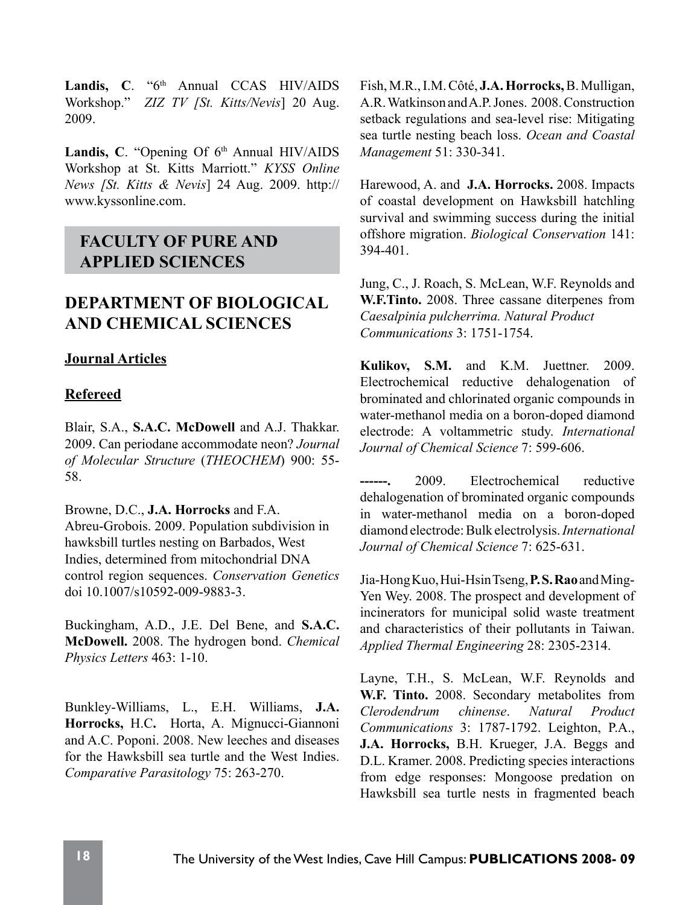Landis, C. "6<sup>th</sup> Annual CCAS HIV/AIDS Workshop." *ZIZ TV [St. Kitts/Nevis*] 20 Aug. 2009.

Landis, C. "Opening Of 6<sup>th</sup> Annual HIV/AIDS Workshop at St. Kitts Marriott." *KYSS Online News [St. Kitts & Nevis*] 24 Aug. 2009. http:// www.kyssonline.com.

## **FACULTY OF PURE AND APPLIED SCIENCES**

## **DEPARTMENT OF BIOLOGICAL AND CHEMICAL SCIENCES**

#### **Journal Articles**

#### **Refereed**

Blair, S.A., **S.A.C. McDowell** and A.J. Thakkar. 2009. Can periodane accommodate neon? *Journal of Molecular Structure* (*THEOCHEM*) 900: 55- 58.

Browne, D.C., **J.A. Horrocks** and F.A. Abreu-Grobois. 2009. Population subdivision in hawksbill turtles nesting on Barbados, West Indies, determined from mitochondrial DNA control region sequences. *Conservation Genetics* doi 10.1007/s10592-009-9883-3.

Buckingham, A.D., J.E. Del Bene, and **S.A.C. McDowell.** 2008. The hydrogen bond. *Chemical Physics Letters* 463: 1-10.

Bunkley-Williams, L., E.H. Williams, **J.A. Horrocks,** H.C**.** Horta, A. Mignucci-Giannoni and A.C. Poponi. 2008. New leeches and diseases for the Hawksbill sea turtle and the West Indies. *Comparative Parasitology* 75: 263-270.

Fish, M.R., I.M. Côté, **J.A.Horrocks,** B. Mulligan, A.R.Watkinson andA.P.Jones. 2008.Construction setback regulations and sea-level rise: Mitigating sea turtle nesting beach loss. *Ocean and Coastal Management* 51: 330-341.

Harewood, A. and **J.A. Horrocks.** 2008. Impacts of coastal development on Hawksbill hatchling survival and swimming success during the initial offshore migration. *Biological Conservation* 141: 394-401.

Jung, C., J. Roach, S. McLean, W.F. Reynolds and **W.F.Tinto.** 2008. Three cassane diterpenes from *Caesalpinia pulcherrima. Natural Product Communications* 3: 1751-1754.

**Kulikov, S.M.** and K.M. Juettner. 2009. Electrochemical reductive dehalogenation of brominated and chlorinated organic compounds in water-methanol media on a boron-doped diamond electrode: A voltammetric study. *International Journal of Chemical Science* 7: 599-606.

2009 Electrochemical reductive dehalogenation of brominated organic compounds in water-methanol media on a boron-doped diamond electrode:Bulk electrolysis.*International Journal of Chemical Science* 7: 625-631.

Jia-HongKuo,Hui-HsinTseng,**P. S. Rao**andMing-Yen Wey. 2008. The prospect and development of incinerators for municipal solid waste treatment and characteristics of their pollutants in Taiwan. *Applied Thermal Engineering* 28: 2305-2314.

Layne, T.H., S. McLean, W.F. Reynolds and **W.F. Tinto.** 2008. Secondary metabolites from *Clerodendrum chinense*. *Natural Product Communications* 3: 1787-1792. Leighton, P.A., **J.A. Horrocks,** B.H. Krueger, J.A. Beggs and D.L. Kramer. 2008. Predicting species interactions from edge responses: Mongoose predation on Hawksbill sea turtle nests in fragmented beach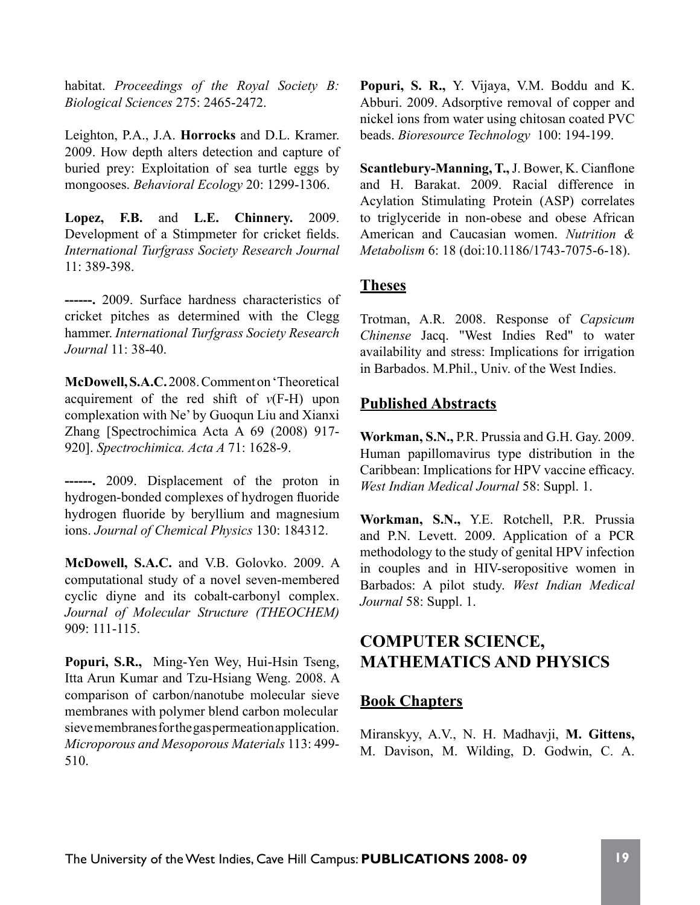habitat. *Proceedings of the Royal Society B: Biological Sciences* 275: 2465-2472.

Leighton, P.A., J.A. **Horrocks** and D.L. Kramer. 2009. How depth alters detection and capture of buried prey: Exploitation of sea turtle eggs by mongooses. *Behavioral Ecology* 20: 1299-1306.

**Lopez, F.B.** and **L.E. Chinnery.** 2009. Development of a Stimpmeter for cricket fields. *International Turfgrass Society Research Journal* 11: 389-398.

**------.** 2009. Surface hardness characteristics of cricket pitches as determined with the Clegg hammer. *International Turfgrass Society Research Journal* 11: 38-40.

**McDowell, S.A.C.**2008.Commenton'Theoretical acquirement of the red shift of *v*(F-H) upon complexation with Ne' by Guoqun Liu and Xianxi Zhang [Spectrochimica Acta A 69 (2008) 917- 920]. *Spectrochimica. Acta A* 71: 1628-9.

**------.** 2009. Displacement of the proton in hydrogen-bonded complexes of hydrogen fluoride hydrogen fluoride by beryllium and magnesium ions. *Journal of Chemical Physics* 130: 184312.

**McDowell, S.A.C.** and V.B. Golovko. 2009. A computational study of a novel seven-membered cyclic diyne and its cobalt-carbonyl complex. *Journal of Molecular Structure (THEOCHEM)* 909: 111-115.

**Popuri, S.R.,** Ming-Yen Wey, Hui-Hsin Tseng, Itta Arun Kumar and Tzu-Hsiang Weng. 2008. A comparison of carbon/nanotube molecular sieve membranes with polymer blend carbon molecular sievemembranesforthegaspermeationapplication. *Microporous and Mesoporous Materials* 113: 499- 510.

**Popuri, S. R.,** Y. Vijaya, V.M. Boddu and K. Abburi. 2009. Adsorptive removal of copper and nickel ions from water using chitosan coated PVC beads. *Bioresource Technology* 100: 194-199.

**Scantlebury-Manning, T.,** J. Bower, K. Cianflone and H. Barakat. 2009. Racial difference in Acylation Stimulating Protein (ASP) correlates to triglyceride in non-obese and obese African American and Caucasian women. *Nutrition & Metabolism* 6: 18 (doi:10.1186/1743-7075-6-18).

## **Theses**

Trotman, A.R. 2008. Response of *Capsicum Chinense* Jacq. "West Indies Red" to water availability and stress: Implications for irrigation in Barbados. M.Phil., Univ. of the West Indies.

## **Published Abstracts**

**Workman, S.N.,** P.R. Prussia and G.H. Gay. 2009. Human papillomavirus type distribution in the Caribbean: Implications for HPV vaccine efficacy. *West Indian Medical Journal* 58: Suppl. 1.

**Workman, S.N.,** Y.E. Rotchell, P.R. Prussia and P.N. Levett. 2009. Application of a PCR methodology to the study of genital HPV infection in couples and in HIV-seropositive women in Barbados: A pilot study. *West Indian Medical Journal* 58: Suppl. 1.

## **COMPUTER SCIENCE, MATHEMATICS AND PHYSICS**

## **Book Chapters**

Miranskyy, A.V., N. H. Madhavji, **M. Gittens,**  M. Davison, M. Wilding, D. Godwin, C. A.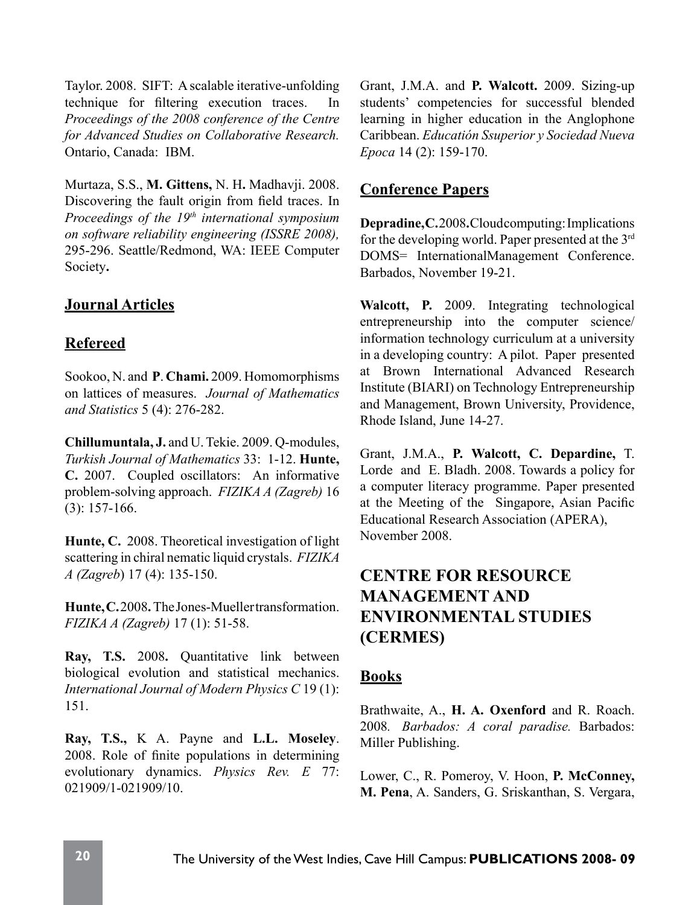Taylor. 2008. SIFT: Ascalable iterative-unfolding technique for filtering execution traces. In *Proceedings of the 2008 conference of the Centre for Advanced Studies on Collaborative Research.* Ontario, Canada: IBM.

Murtaza, S.S., **M. Gittens,** N. H**.** Madhavji. 2008. Discovering the fault origin from field traces. In *Proceedings of the 19th international symposium on software reliability engineering (ISSRE 2008),* 295-296. Seattle/Redmond, WA: IEEE Computer Society**.**

## **Journal Articles**

## **Refereed**

Sookoo, N. and **P**. **Chami.** 2009. Homomorphisms on lattices of measures. *Journal of Mathematics and Statistics* 5 (4): 276-282.

**Chillumuntala, J.** and U.Tekie. 2009. Q-modules, *Turkish Journal of Mathematics* 33: 1-12. **Hunte, C.** 2007. Coupled oscillators: An informative problem-solving approach. *FIZIKA A (Zagreb)* 16 (3): 157-166.

**Hunte, C.** 2008. Theoretical investigation of light scattering in chiral nematic liquid crystals. *FIZIKA A (Zagreb*) 17 (4): 135-150.

**Hunte, C.** 2008**.** TheJones-Muellertransformation. *FIZIKA A (Zagreb)* 17 (1): 51-58.

**Ray, T.S.** 2008**.** Quantitative link between biological evolution and statistical mechanics. *International Journal of Modern Physics C* 19 (1): 151.

**Ray, T.S.,** K A. Payne and **L.L. Moseley**. 2008. Role of finite populations in determining evolutionary dynamics. *Physics Rev. E* 77: 021909/1-021909/10.

Grant, J.M.A. and **P. Walcott.** 2009. Sizing-up students' competencies for successful blended learning in higher education in the Anglophone Caribbean. *Educatiόn Ssuperior y Sociedad Nueva Epoca* 14 (2): 159-170.

#### **Conference Papers**

**Depradine, C.** 2008**.**Cloudcomputing: Implications for the developing world. Paper presented at the 3rd DOMS= InternationalManagement Conference. Barbados, November 19-21.

**Walcott, P.** 2009. Integrating technological entrepreneurship into the computer science/ information technology curriculum at a university in a developing country: A pilot. Paper presented at Brown International Advanced Research Institute (BIARI) on Technology Entrepreneurship and Management, Brown University, Providence, Rhode Island, June 14-27.

Grant, J.M.A., **P. Walcott, C. Depardine,** T. Lorde and E. Bladh. 2008. Towards a policy for a computer literacy programme. Paper presented at the Meeting of the Singapore, Asian Pacific Educational Research Association (APERA), November 2008.

## **CENTRE FOR RESOURCE MANAGEMENT AND ENVIRONMENTAL STUDIES (CERMES)**

#### **Books**

Brathwaite, A., **H. A. Oxenford** and R. Roach. 2008*. Barbados: A coral paradise.* Barbados: Miller Publishing.

Lower, C., R. Pomeroy, V. Hoon, **P. McConney, M. Pena**, A. Sanders, G. Sriskanthan, S. Vergara,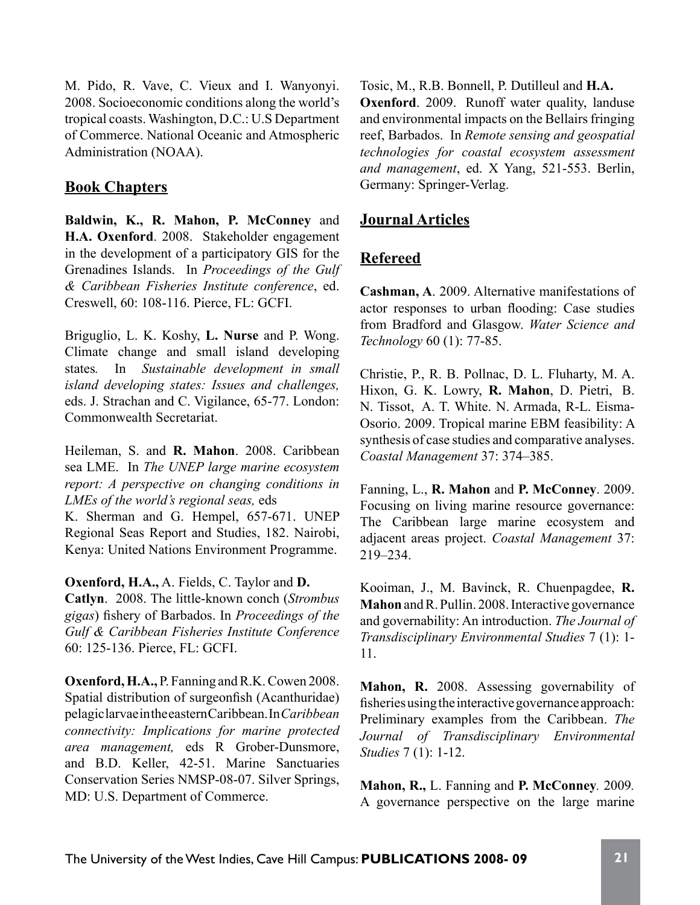M. Pido, R. Vave, C. Vieux and I. Wanyonyi. 2008. Socioeconomic conditions along the world's tropical coasts.Washington, D.C.: U.S Department of Commerce. National Oceanic and Atmospheric Administration (NOAA).

## **Book Chapters**

**Baldwin, K., R. Mahon, P. McConney** and **H.A. Oxenford**. 2008. Stakeholder engagement in the development of a participatory GIS for the Grenadines Islands. In *Proceedings of the Gulf & Caribbean Fisheries Institute conference*, ed. Creswell, 60: 108-116. Pierce, FL: GCFI.

Briguglio, L. K. Koshy, **L. Nurse** and P. Wong. Climate change and small island developing states*.* In *Sustainable development in small island developing states: Issues and challenges,*  eds. J. Strachan and C. Vigilance, 65-77. London: Commonwealth Secretariat.

Heileman, S. and **R. Mahon**. 2008. Caribbean sea LME. In *The UNEP large marine ecosystem report: A perspective on changing conditions in LMEs of the world's regional seas,* eds

K. Sherman and G. Hempel, 657-671. UNEP Regional Seas Report and Studies, 182. Nairobi, Kenya: United Nations Environment Programme.

#### **Oxenford, H.A.,** A. Fields, C. Taylor and **D.**

**Catlyn**. 2008. The little-known conch (*Strombus gigas*) fishery of Barbados. In *Proceedings of the Gulf & Caribbean Fisheries Institute Conference*  60: 125-136. Pierce, FL: GCFI.

**Oxenford, H.A., P. Fanning and R.K. Cowen 2008.** Spatial distribution of surgeonfish (Acanthuridae) pelagiclarvaeintheeasternCaribbean.In*Caribbean connectivity: Implications for marine protected area management,* eds R Grober-Dunsmore, and B.D. Keller, 42-51. Marine Sanctuaries Conservation Series NMSP-08-07. Silver Springs, MD: U.S. Department of Commerce.

Tosic, M., R.B. Bonnell, P. Dutilleul and **H.A. Oxenford.** 2009. Runoff water quality, landuse and environmental impacts on the Bellairs fringing reef, Barbados. In *Remote sensing and geospatial technologies for coastal ecosystem assessment and management*, ed. X Yang, 521-553. Berlin, Germany: Springer-Verlag.

## **Journal Articles**

## **Refereed**

**Cashman, A**. 2009. Alternative manifestations of actor responses to urban flooding: Case studies from Bradford and Glasgow. *Water Science and Technology* 60 (1): 77-85.

Christie, P., R. B. Pollnac, D. L. Fluharty, M. A. Hixon, G. K. Lowry, **R. Mahon**, D. Pietri, B. N. Tissot, A. T. White. N. Armada, R-L. Eisma-Osorio. 2009. Tropical marine EBM feasibility: A synthesis of case studies and comparative analyses. *Coastal Management* 37: 374–385.

Fanning, L., **R. Mahon** and **P. McConney**. 2009. Focusing on living marine resource governance: The Caribbean large marine ecosystem and adjacent areas project. *Coastal Management* 37: 219–234.

Kooiman, J., M. Bavinck, R. Chuenpagdee, **R. Mahon** and R. Pullin. 2008. Interactive governance and governability: An introduction. *The Journal of Transdisciplinary Environmental Studies* 7 (1): 1- 11.

**Mahon, R.** 2008. Assessing governability of fisheries using the interactive governance approach: Preliminary examples from the Caribbean. *The Journal of Transdisciplinary Environmental Studies* 7 (1): 1-12.

**Mahon, R.,** L. Fanning and **P. McConney***.* 2009*.* A governance perspective on the large marine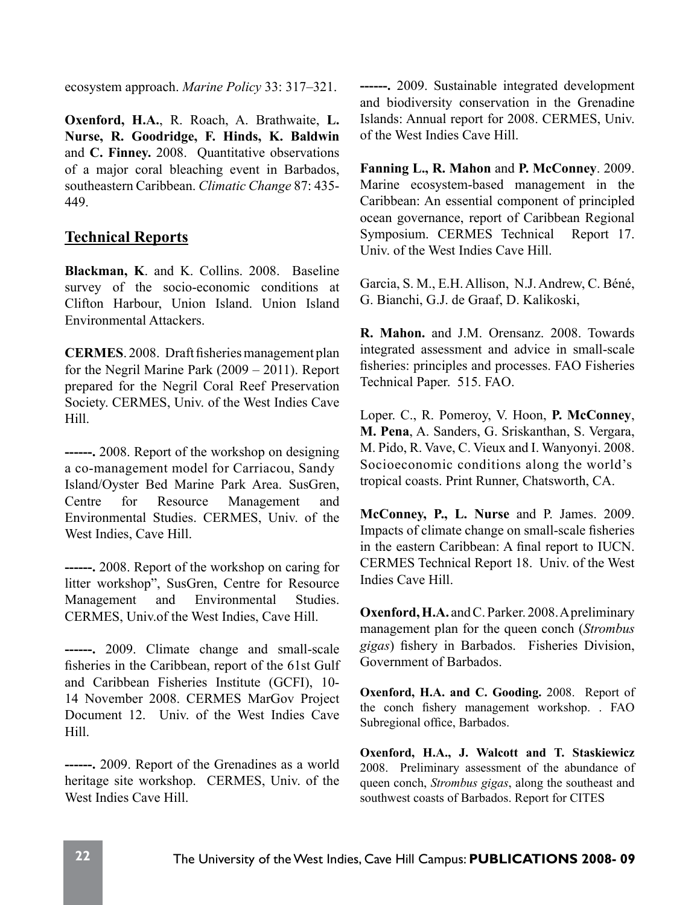ecosystem approach. *Marine Policy* 33: 317–321.

**Oxenford, H.A.**, R. Roach, A. Brathwaite, **L. Nurse, R. Goodridge, F. Hinds, K. Baldwin**  and **C. Finney.** 2008. Quantitative observations of a major coral bleaching event in Barbados, southeastern Caribbean. *Climatic Change* 87: 435- 449.

## **Technical Reports**

**Blackman, K**. and K. Collins. 2008. Baseline survey of the socio-economic conditions at Clifton Harbour, Union Island. Union Island Environmental Attackers.

**CERMES**. 2008. Draft fisheries management plan for the Negril Marine Park (2009 – 2011). Report prepared for the Negril Coral Reef Preservation Society. CERMES, Univ. of the West Indies Cave Hill.

**------.** 2008. Report of the workshop on designing a co-management model for Carriacou, Sandy Island/Oyster Bed Marine Park Area. SusGren, Centre for Resource Management and Environmental Studies. CERMES, Univ. of the West Indies, Cave Hill.

**------.** 2008. Report of the workshop on caring for litter workshop", SusGren, Centre for Resource Management and Environmental Studies. CERMES, Univ.of the West Indies, Cave Hill.

**------.** 2009. Climate change and small-scale fisheries in the Caribbean, report of the 61st Gulf and Caribbean Fisheries Institute (GCFI), 10- 14 November 2008. CERMES MarGov Project Document 12. Univ. of the West Indies Cave Hill.

**------.** 2009. Report of the Grenadines as a world heritage site workshop. CERMES, Univ. of the West Indies Cave Hill.

**------.** 2009. Sustainable integrated development and biodiversity conservation in the Grenadine Islands: Annual report for 2008. CERMES, Univ. of the West Indies Cave Hill.

**Fanning L., R. Mahon** and **P. McConney**. 2009. Marine ecosystem-based management in the Caribbean: An essential component of principled ocean governance, report of Caribbean Regional Symposium. CERMES Technical Report 17. Univ. of the West Indies Cave Hill.

Garcia, S. M., E.H. Allison, N.J. Andrew, C. Béné, G. Bianchi, G.J. de Graaf, D. Kalikoski,

**R. Mahon.** and J.M. Orensanz. 2008. Towards integrated assessment and advice in small-scale fisheries: principles and processes. FAO Fisheries Technical Paper. 515. FAO.

Loper. C., R. Pomeroy, V. Hoon, **P. McConney**, **M. Pena**, A. Sanders, G. Sriskanthan, S. Vergara, M. Pido, R. Vave, C. Vieux and I. Wanyonyi. 2008. Socioeconomic conditions along the world's tropical coasts. Print Runner, Chatsworth, CA.

**McConney, P., L. Nurse** and P. James. 2009. Impacts of climate change on small-scale fisheries in the eastern Caribbean: A final report to IUCN. CERMES Technical Report 18. Univ. of the West Indies Cave Hill.

**Oxenford, H.A.** andC.Parker. 2008.Apreliminary management plan for the queen conch (*Strombus gigas*) fishery in Barbados. Fisheries Division, Government of Barbados.

**Oxenford, H.A. and C. Gooding.** 2008. Report of the conch fishery management workshop. . FAO Subregional office, Barbados.

**Oxenford, H.A., J. Walcott and T. Staskiewicz**  2008. Preliminary assessment of the abundance of queen conch, *Strombus gigas*, along the southeast and southwest coasts of Barbados. Report for CITES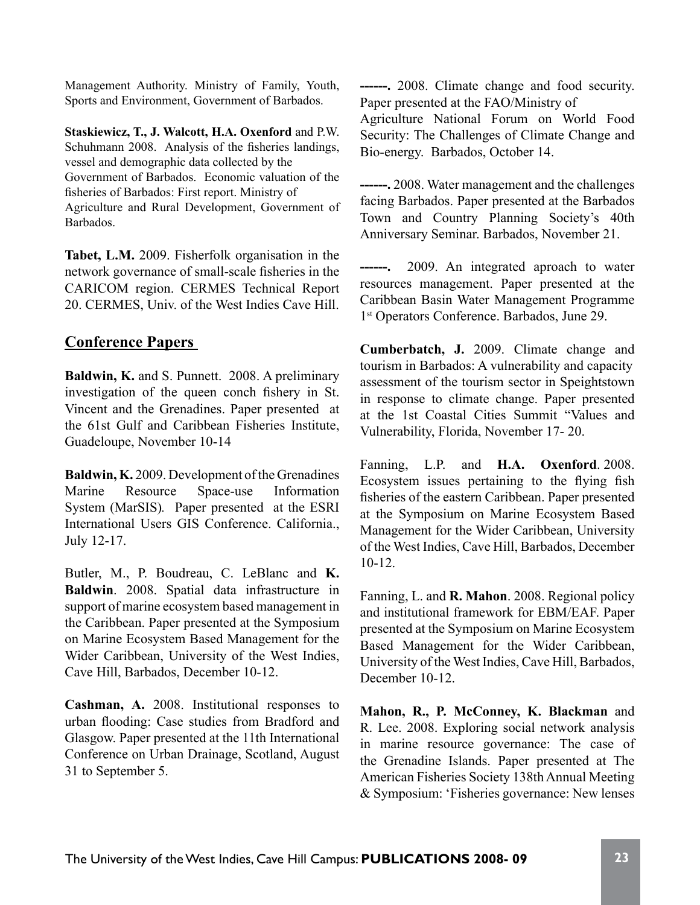Management Authority. Ministry of Family, Youth, Sports and Environment, Government of Barbados.

**Staskiewicz, T., J. Walcott, H.A. Oxenford** and P.W. Schuhmann 2008. Analysis of the fisheries landings, vessel and demographic data collected by the Government of Barbados. Economic valuation of the fisheries of Barbados: First report. Ministry of Agriculture and Rural Development, Government of Barbados.

**Tabet, L.M.** 2009. Fisherfolk organisation in the network governance of small-scale fisheries in the CARICOM region. CERMES Technical Report 20. CERMES, Univ. of the West Indies Cave Hill.

## **Conference Papers**

**Baldwin, K.** and S. Punnett. 2008. A preliminary investigation of the queen conch fishery in St. Vincent and the Grenadines. Paper presented at the 61st Gulf and Caribbean Fisheries Institute, Guadeloupe, November 10-14

**Baldwin, K.** 2009. Development of the Grenadines Marine Resource Space-use Information System (MarSIS)*.* Paper presented at the ESRI International Users GIS Conference. California., July 12-17.

Butler, M., P. Boudreau, C. LeBlanc and **K. Baldwin**. 2008. Spatial data infrastructure in support of marine ecosystem based management in the Caribbean. Paper presented at the Symposium on Marine Ecosystem Based Management for the Wider Caribbean, University of the West Indies, Cave Hill, Barbados, December 10-12.

**Cashman, A.** 2008. Institutional responses to urban flooding: Case studies from Bradford and Glasgow. Paper presented at the 11th International Conference on Urban Drainage, Scotland, August 31 to September 5.

**------.** 2008. Climate change and food security. Paper presented at the FAO/Ministry of

Agriculture National Forum on World Food Security: The Challenges of Climate Change and Bio-energy. Barbados, October 14.

**------.** 2008. Water management and the challenges facing Barbados. Paper presented at the Barbados Town and Country Planning Society's 40th Anniversary Seminar. Barbados, November 21.

**------.** 2009. An integrated aproach to water resources management. Paper presented at the Caribbean Basin Water Management Programme 1<sup>st</sup> Operators Conference. Barbados, June 29.

**Cumberbatch, J.** 2009. Climate change and tourism in Barbados: A vulnerability and capacity assessment of the tourism sector in Speightstown in response to climate change. Paper presented at the 1st Coastal Cities Summit "Values and Vulnerability, Florida, November 17- 20.

Fanning, L.P. and **H.A. Oxenford**. 2008. Ecosystem issues pertaining to the flying fish fisheries of the eastern Caribbean. Paper presented at the Symposium on Marine Ecosystem Based Management for the Wider Caribbean, University of the West Indies, Cave Hill, Barbados, December 10-12.

Fanning, L. and **R. Mahon**. 2008. Regional policy and institutional framework for EBM/EAF. Paper presented at the Symposium on Marine Ecosystem Based Management for the Wider Caribbean, University of theWest Indies, Cave Hill, Barbados, December 10-12.

**Mahon, R., P. McConney, K. Blackman** and R. Lee. 2008. Exploring social network analysis in marine resource governance: The case of the Grenadine Islands. Paper presented at The American Fisheries Society 138thAnnual Meeting & Symposium: 'Fisheries governance: New lenses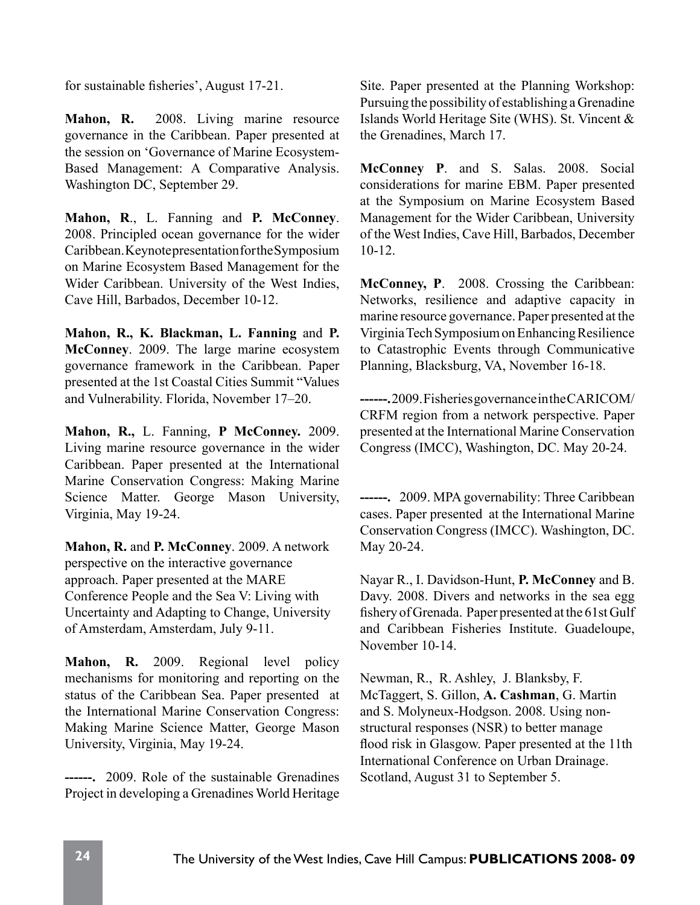for sustainable fisheries', August 17-21.

**Mahon, R.** 2008. Living marine resource governance in the Caribbean. Paper presented at the session on 'Governance of Marine Ecosystem-Based Management: A Comparative Analysis. Washington DC, September 29.

**Mahon, R**., L. Fanning and **P. McConney**. 2008. Principled ocean governance for the wider Caribbean.KeynotepresentationfortheSymposium on Marine Ecosystem Based Management for the Wider Caribbean. University of the West Indies, Cave Hill, Barbados, December 10-12.

**Mahon, R., K. Blackman, L. Fanning** and **P. McConney**. 2009. The large marine ecosystem governance framework in the Caribbean. Paper presented at the 1st Coastal Cities Summit "Values and Vulnerability. Florida, November 17–20.

**Mahon, R.,** L. Fanning, **P McConney.** 2009. Living marine resource governance in the wider Caribbean. Paper presented at the International Marine Conservation Congress: Making Marine Science Matter. George Mason University, Virginia, May 19-24.

**Mahon, R.** and **P. McConney**. 2009. A network perspective on the interactive governance approach. Paper presented at the MARE Conference People and the Sea V: Living with Uncertainty and Adapting to Change, University of Amsterdam, Amsterdam, July 9-11.

**Mahon, R.** 2009. Regional level policy mechanisms for monitoring and reporting on the status of the Caribbean Sea. Paper presented at the International Marine Conservation Congress: Making Marine Science Matter, George Mason University, Virginia, May 19-24.

**------.** 2009. Role of the sustainable Grenadines Project in developing a Grenadines World Heritage

Site. Paper presented at the Planning Workshop: Pursuing the possibility of establishing aGrenadine Islands World Heritage Site (WHS). St. Vincent & the Grenadines, March 17.

**McConney P**. and S. Salas. 2008. Social considerations for marine EBM. Paper presented at the Symposium on Marine Ecosystem Based Management for the Wider Caribbean, University of the West Indies, Cave Hill, Barbados, December 10-12.

**McConney, P**. 2008. Crossing the Caribbean: Networks, resilience and adaptive capacity in marine resource governance. Paper presented at the VirginiaTechSymposiumonEnhancingResilience to Catastrophic Events through Communicative Planning, Blacksburg, VA, November 16-18.

**------.**2009.FisheriesgovernanceintheCARICOM/ CRFM region from a network perspective. Paper presented at the International Marine Conservation Congress (IMCC), Washington, DC. May 20-24.

**------.** 2009. MPA governability: Three Caribbean cases. Paper presented at the International Marine Conservation Congress (IMCC). Washington, DC. May 20-24.

Nayar R., I. Davidson-Hunt, **P. McConney** and B. Davy. 2008. Divers and networks in the sea egg fishery of Grenada. Paper presented at the 61st Gulf and Caribbean Fisheries Institute. Guadeloupe, November 10-14.

Newman, R., R. Ashley, J. Blanksby, F. McTaggert, S. Gillon, **A. Cashman**, G. Martin and S. Molyneux-Hodgson. 2008. Using nonstructural responses (NSR) to better manage flood risk in Glasgow. Paper presented at the 11th International Conference on Urban Drainage. Scotland, August 31 to September 5.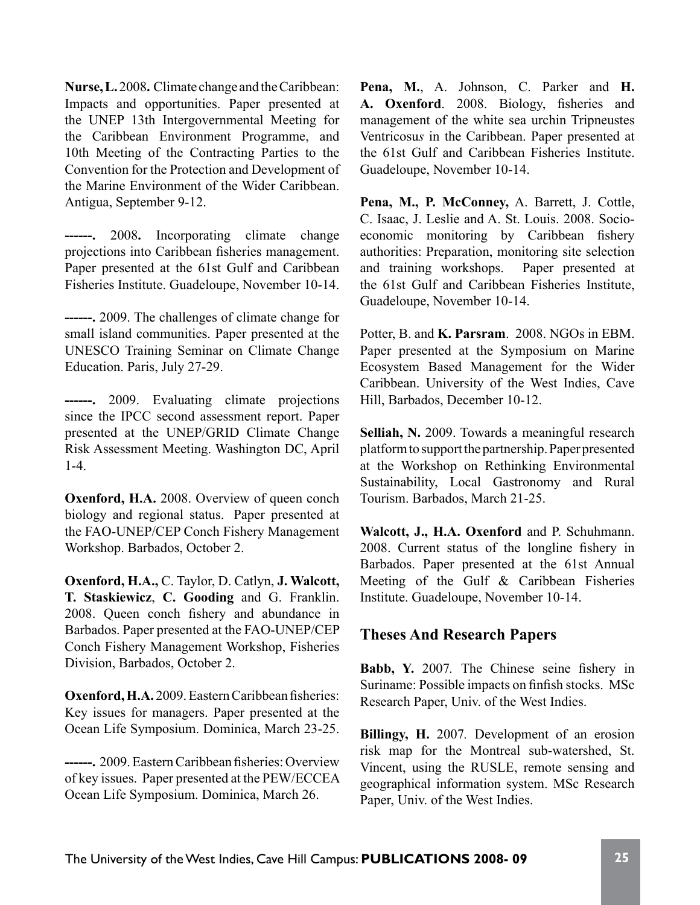**Nurse, L.** 2008**.** Climate change and theCaribbean: Impacts and opportunities. Paper presented at the UNEP 13th Intergovernmental Meeting for the Caribbean Environment Programme, and 10th Meeting of the Contracting Parties to the Convention for the Protection and Development of the Marine Environment of the Wider Caribbean. Antigua, September 9-12.

**------.** 2008**.** Incorporating climate change projections into Caribbean fisheries management. Paper presented at the 61st Gulf and Caribbean Fisheries Institute. Guadeloupe, November 10-14.

**------.** 2009. The challenges of climate change for small island communities. Paper presented at the UNESCO Training Seminar on Climate Change Education. Paris, July 27-29.

**------.** 2009. Evaluating climate projections since the IPCC second assessment report. Paper presented at the UNEP/GRID Climate Change Risk Assessment Meeting. Washington DC, April 1-4.

**Oxenford, H.A.** 2008. Overview of queen conch biology and regional status. Paper presented at the FAO-UNEP/CEP Conch Fishery Management Workshop. Barbados, October 2.

**Oxenford, H.A.,** C. Taylor, D. Catlyn, **J. Walcott, T. Staskiewicz**, **C. Gooding** and G. Franklin. 2008. Queen conch fishery and abundance in Barbados. Paper presented at the FAO-UNEP/CEP Conch Fishery Management Workshop, Fisheries Division, Barbados, October 2.

**Oxenford, H.A.** 2009. Eastern Caribbean fisheries: Key issues for managers. Paper presented at the Ocean Life Symposium. Dominica, March 23-25.

**------.** 2009. Eastern Caribbean fisheries: Overview of key issues. Paper presented at the PEW/ECCEA Ocean Life Symposium. Dominica, March 26.

**Pena, M.**, A. Johnson, C. Parker and **H. A. Oxenford**. 2008. Biology, fisheries and management of the white sea urchin Tripneustes Ventricosu*s* in the Caribbean. Paper presented at the 61st Gulf and Caribbean Fisheries Institute. Guadeloupe, November 10-14.

**Pena, M., P. McConney,** A. Barrett, J. Cottle, C. Isaac, J. Leslie and A. St. Louis. 2008. Socioeconomic monitoring by Caribbean fishery authorities: Preparation, monitoring site selection and training workshops. Paper presented at the 61st Gulf and Caribbean Fisheries Institute, Guadeloupe, November 10-14.

Potter, B. and **K. Parsram**. 2008. NGOs in EBM. Paper presented at the Symposium on Marine Ecosystem Based Management for the Wider Caribbean. University of the West Indies, Cave Hill, Barbados, December 10-12.

**Selliah, N.** 2009. Towards a meaningful research platform to support the partnership. Paper presented at the Workshop on Rethinking Environmental Sustainability, Local Gastronomy and Rural Tourism. Barbados, March 21-25.

**Walcott, J., H.A. Oxenford** and P. Schuhmann. 2008. Current status of the longline fishery in Barbados. Paper presented at the 61st Annual Meeting of the Gulf & Caribbean Fisheries Institute. Guadeloupe, November 10-14.

## **Theses And Research Papers**

**Babb, Y.** 2007*.* The Chinese seine fishery in Suriname: Possible impacts on finfish stocks. MSc Research Paper, Univ. of the West Indies.

**Billingy, H.** 2007*.* Development of an erosion risk map for the Montreal sub-watershed, St. Vincent, using the RUSLE, remote sensing and geographical information system. MSc Research Paper, Univ. of the West Indies.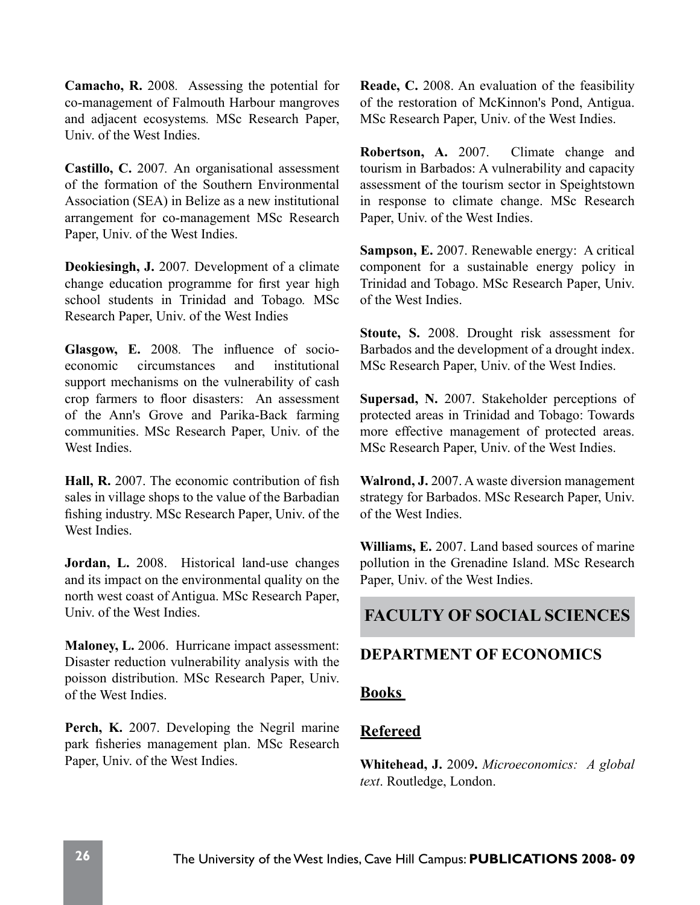**Camacho, R.** 2008*.* Assessing the potential for co-management of Falmouth Harbour mangroves and adjacent ecosystems*.* MSc Research Paper, Univ. of the West Indies.

**Castillo, C.** 2007*.* An organisational assessment of the formation of the Southern Environmental Association (SEA) in Belize as a new institutional arrangement for co-management MSc Research Paper, Univ. of the West Indies.

**Deokiesingh, J.** 2007*.* Development of a climate change education programme for first year high school students in Trinidad and Tobago*.* MSc Research Paper, Univ. of the West Indies

**Glasgow, E.** 2008*.* The influence of socioeconomic circumstances and institutional support mechanisms on the vulnerability of cash crop farmers to floor disasters: An assessment of the Ann's Grove and Parika-Back farming communities. MSc Research Paper, Univ. of the West Indies.

**Hall, R.** 2007. The economic contribution of fish sales in village shops to the value of the Barbadian fishing industry. MSc Research Paper, Univ. of the West Indies

**Jordan, L.** 2008. Historical land-use changes and its impact on the environmental quality on the north west coast of Antigua. MSc Research Paper, Univ. of the West Indies.

**Maloney, L.** 2006. Hurricane impact assessment: Disaster reduction vulnerability analysis with the poisson distribution. MSc Research Paper, Univ. of the West Indies.

**Perch, K.** 2007. Developing the Negril marine park fisheries management plan. MSc Research Paper, Univ. of the West Indies.

**Reade, C.** 2008. An evaluation of the feasibility of the restoration of McKinnon's Pond, Antigua. MSc Research Paper, Univ. of the West Indies.

**Robertson, A.** 2007. Climate change and tourism in Barbados: A vulnerability and capacity assessment of the tourism sector in Speightstown in response to climate change. MSc Research Paper, Univ. of the West Indies.

**Sampson, E.** 2007. Renewable energy: A critical component for a sustainable energy policy in Trinidad and Tobago. MSc Research Paper, Univ. of the West Indies.

**Stoute, S.** 2008. Drought risk assessment for Barbados and the development of a drought index. MSc Research Paper, Univ. of the West Indies.

**Supersad, N.** 2007. Stakeholder perceptions of protected areas in Trinidad and Tobago: Towards more effective management of protected areas. MSc Research Paper, Univ. of the West Indies.

**Walrond, J.** 2007. A waste diversion management strategy for Barbados. MSc Research Paper, Univ. of the West Indies.

**Williams, E.** 2007. Land based sources of marine pollution in the Grenadine Island. MSc Research Paper, Univ. of the West Indies.

## **FACULTY OF SOCIAL SCIENCES**

## **DEPARTMENT OF ECONOMICS**

## **Books**

## **Refereed**

**Whitehead, J.** 2009**.** *Microeconomics: A global text*. Routledge, London.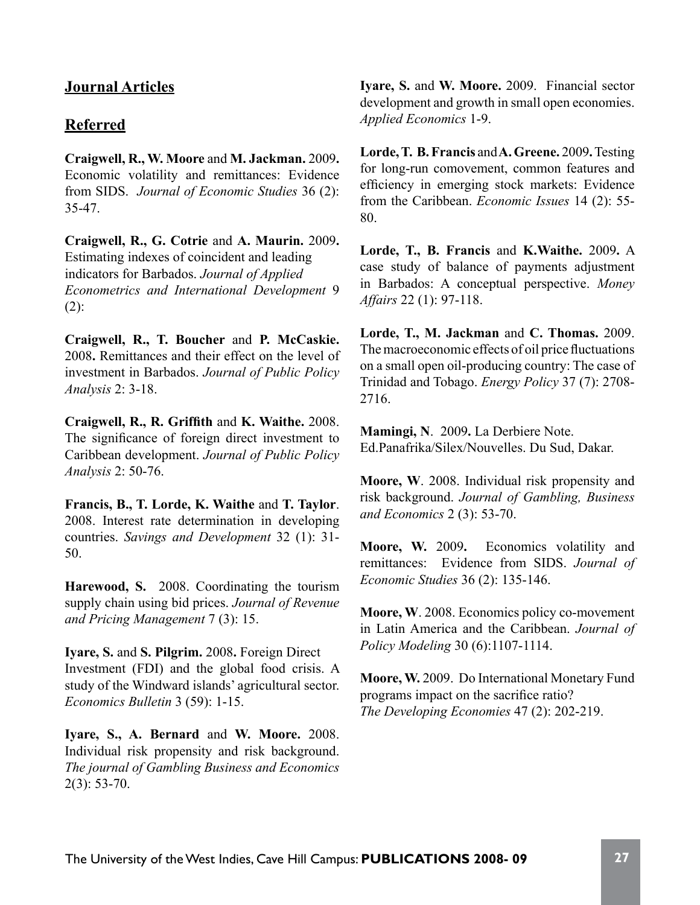## **Journal Articles**

#### **Referred**

**Craigwell, R., W. Moore** and **M. Jackman.** 2009**.**  Economic volatility and remittances: Evidence from SIDS. *Journal of Economic Studies* 36 (2): 35-47.

**Craigwell, R., G. Cotrie** and **A. Maurin.** 2009**.**  Estimating indexes of coincident and leading indicators for Barbados. *Journal of Applied Econometrics and International Development* 9  $(2)$ :

**Craigwell, R., T. Boucher** and **P. McCaskie.**  2008**.** Remittances and their effect on the level of investment in Barbados. *Journal of Public Policy Analysis* 2: 3-18.

**Craigwell, R., R. Griffith** and **K. Waithe.** 2008. The significance of foreign direct investment to Caribbean development. *Journal of Public Policy Analysis* 2: 50-76.

**Francis, B., T. Lorde, K. Waithe** and **T. Taylor**. 2008. Interest rate determination in developing countries. *Savings and Development* 32 (1): 31- 50.

**Harewood, S.** 2008. Coordinating the tourism supply chain using bid prices. *Journal of Revenue and Pricing Management* 7 (3): 15.

**Iyare, S.** and **S. Pilgrim.** 2008**.** Foreign Direct Investment (FDI) and the global food crisis. A study of the Windward islands' agricultural sector. *Economics Bulletin* 3 (59): 1-15.

**Iyare, S., A. Bernard** and **W. Moore.** 2008. Individual risk propensity and risk background. *The journal of Gambling Business and Economics* 2(3): 53-70.

**Iyare, S.** and **W. Moore.** 2009. Financial sector development and growth in small open economies. *Applied Economics* 1-9.

**Lorde, T. B. Francis** and **A. Greene.** 2009**.**Testing for long-run comovement, common features and efficiency in emerging stock markets: Evidence from the Caribbean. *Economic Issues* 14 (2): 55- 80.

**Lorde, T., B. Francis** and **K.Waithe.** 2009**.** A case study of balance of payments adjustment in Barbados: A conceptual perspective. *Money Affairs* 22 (1): 97-118.

**Lorde, T., M. Jackman** and **C. Thomas.** 2009. The macroeconomic effects of oil price fluctuations on a small open oil-producing country: The case of Trinidad and Tobago. *Energy Policy* 37 (7): 2708- 2716.

**Mamingi, N**. 2009**.** La Derbiere Note. Ed.Panafrika/Silex/Nouvelles. Du Sud, Dakar.

**Moore, W**. 2008. Individual risk propensity and risk background. *Journal of Gambling, Business and Economics* 2 (3): 53-70.

**Moore, W.** 2009**.** Economics volatility and remittances: Evidence from SIDS. *Journal of Economic Studies* 36 (2): 135-146.

**Moore, W**. 2008. Economics policy co-movement in Latin America and the Caribbean. *Journal of Policy Modeling* 30 (6):1107-1114.

**Moore, W.** 2009. Do International Monetary Fund programs impact on the sacrifice ratio? *The Developing Economies* 47 (2): 202-219.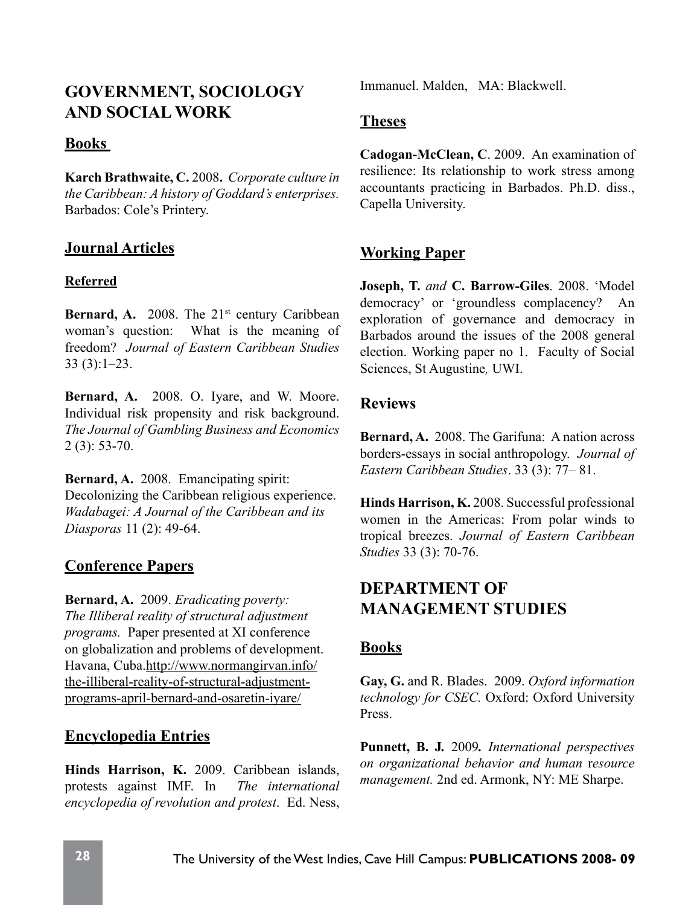## **GOVERNMENT, SOCIOLOGY AND SOCIAL WORK**

## **Books**

**Karch Brathwaite, C.** 2008**.** *Corporate culture in the Caribbean: A history of Goddard's enterprises.* Barbados: Cole's Printery.

## **Journal Articles**

## **Referred**

Bernard, A. 2008. The 21<sup>st</sup> century Caribbean woman's question: What is the meaning of freedom? *Journal of Eastern Caribbean Studies* 33 (3):1–23.

**Bernard, A.** 2008. O. Iyare, and W. Moore. Individual risk propensity and risk background. *The Journal of Gambling Business and Economics* 2 (3): 53-70.

**Bernard, A.** 2008. Emancipating spirit: Decolonizing the Caribbean religious experience. *Wadabagei: A Journal of the Caribbean and its Diasporas* 11 (2): 49-64.

## **Conference Papers**

**Bernard, A.** 2009. *Eradicating poverty: The Illiberal reality of structural adjustment programs.* Paper presented at XI conference on globalization and problems of development. Havana, Cuba.http://www.normangirvan.info/ the-illiberal-reality-of-structural-adjustmentprograms-april-bernard-and-osaretin-iyare/

## **Encyclopedia Entries**

**Hinds Harrison, K.** 2009. Caribbean islands, protests against IMF. In *The international encyclopedia of revolution and protest*. Ed. Ness,

Immanuel. Malden, MA: Blackwell.

## **Theses**

**Cadogan-McClean, C**. 2009. An examination of resilience: Its relationship to work stress among accountants practicing in Barbados. Ph.D. diss., Capella University.

## **Working Paper**

**Joseph, T.** *and* **C. Barrow-Giles**. 2008. 'Model democracy' or 'groundless complacency? An exploration of governance and democracy in Barbados around the issues of the 2008 general election. Working paper no 1. Faculty of Social Sciences, St Augustine*,* UWI.

## **Reviews**

**Bernard, A.** 2008. The Garifuna: A nation across borders-essays in social anthropology. *Journal of Eastern Caribbean Studies*. 33 (3): 77– 81.

**Hinds Harrison, K.** 2008. Successful professional women in the Americas: From polar winds to tropical breezes. *Journal of Eastern Caribbean Studies* 33 (3): 70-76.

## **DEPARTMENT OF MANAGEMENT STUDIES**

## **Books**

**Gay, G.** and R. Blades. 2009. *Oxford information technology for CSEC.* Oxford: Oxford University Press.

**Punnett, B. J***.* 2009*. International perspectives on organizational behavior and human* r*esource management.* 2nd ed. Armonk, NY: ME Sharpe.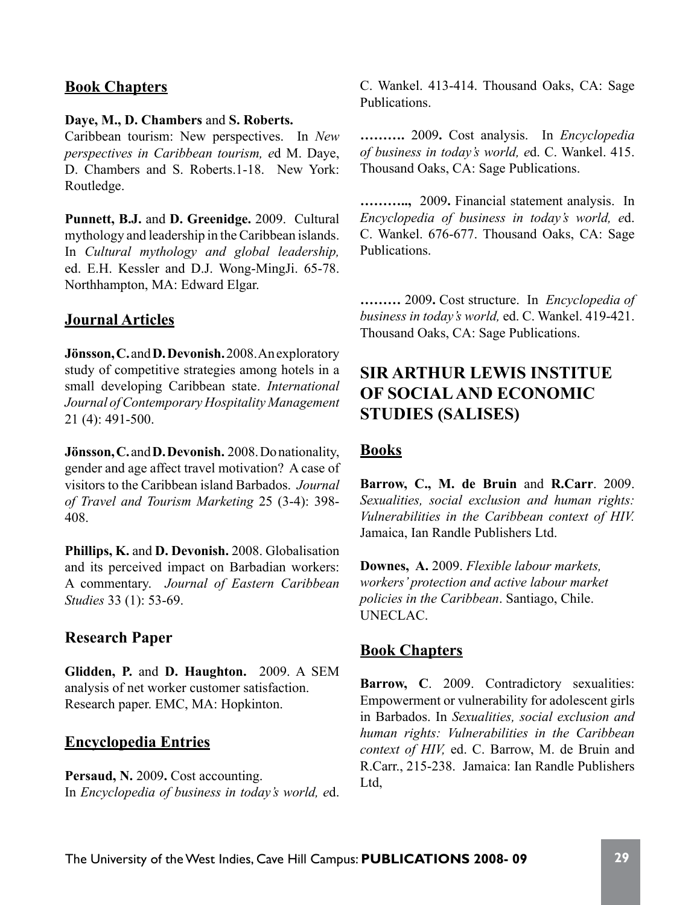## **Book Chapters**

#### **Daye, M., D. Chambers** and **S. Roberts.**

Caribbean tourism: New perspectives. In *New perspectives in Caribbean tourism, e*d M. Daye, D. Chambers and S. Roberts.1-18. New York: Routledge.

**Punnett, B.J.** and **D. Greenidge.** 2009. Cultural mythology and leadership in the Caribbean islands. In *Cultural mythology and global leadership,* ed. E.H. Kessler and D.J. Wong-MingJi. 65-78. Northhampton, MA: Edward Elgar.

#### **Journal Articles**

**Jönsson, C.** and **D. Devonish.**2008.Anexploratory study of competitive strategies among hotels in a small developing Caribbean state. *International Journal of Contemporary Hospitality Management*  21 (4): 491-500.

**Jönsson, C.** and **D. Devonish.** 2008.Donationality, gender and age affect travel motivation? A case of visitors to the Caribbean island Barbados. *Journal of Travel and Tourism Marketing* 25 (3-4): 398- 408.

**Phillips, K.** and **D. Devonish.** 2008. Globalisation and its perceived impact on Barbadian workers: A commentary. *Journal of Eastern Caribbean Studies* 33 (1): 53-69.

#### **Research Paper**

**Glidden, P.** and **D. Haughton.** 2009. A SEM analysis of net worker customer satisfaction. Research paper. EMC, MA: Hopkinton.

#### **Encyclopedia Entries**

Persaud, N. 2009. Cost accounting. In *Encyclopedia of business in today's world, e*d. C. Wankel. 413-414. Thousand Oaks, CA: Sage Publications.

**……….** 2009**.** Cost analysis. In *Encyclopedia of business in today's world, e*d. C. Wankel. 415. Thousand Oaks, CA: Sage Publications.

**………..,** 2009**.** Financial statement analysis. In *Encyclopedia of business in today's world, e*d. C. Wankel. 676-677. Thousand Oaks, CA: Sage Publications.

**………** 2009**.** Cost structure. In *Encyclopedia of business in today's world,* ed. C. Wankel. 419-421. Thousand Oaks, CA: Sage Publications.

## **SIR ARTHUR LEWIS INSTITUE OF SOCIAL AND ECONOMIC STUDIES (SALISES)**

#### **Books**

**Barrow, C., M. de Bruin** and **R.Carr**. 2009. *Sexualities, social exclusion and human rights: Vulnerabilities in the Caribbean context of HIV.*  Jamaica, Ian Randle Publishers Ltd.

**Downes, A.** 2009. *Flexible labour markets, workers' protection and active labour market policies in the Caribbean*. Santiago, Chile. UNECLAC.

#### **Book Chapters**

**Barrow, C**. 2009. Contradictory sexualities: Empowerment or vulnerability for adolescent girls in Barbados. In *Sexualities, social exclusion and human rights: Vulnerabilities in the Caribbean context of HIV,* ed. C. Barrow, M. de Bruin and R.Carr., 215-238. Jamaica: Ian Randle Publishers Ltd.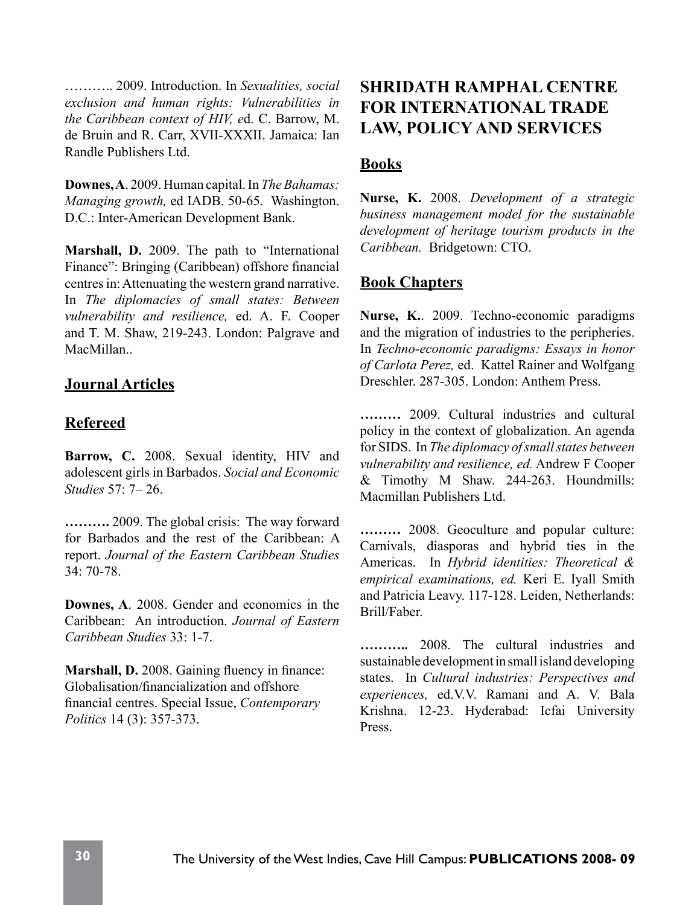……….. 2009. Introduction. In *Sexualities, social exclusion and human rights: Vulnerabilities in the Caribbean context of HIV, e*d. C. Barrow, M. de Bruin and R. Carr, XVII-XXXII. Jamaica: Ian Randle Publishers Ltd.

**Downes, A**. 2009. Human capital.In *The Bahamas: Managing growth,* ed IADB. 50-65. Washington. D.C.: Inter-American Development Bank.

**Marshall, D.** 2009. The path to "International Finance": Bringing (Caribbean) offshore financial centresin:Attenuating the western grand narrative. In *The diplomacies of small states: Between vulnerability and resilience,* ed. A. F. Cooper and T. M. Shaw, 219-243. London: Palgrave and **MacMillan** 

## **Journal Articles**

## **Refereed**

**Barrow, C.** 2008. Sexual identity, HIV and adolescent girls in Barbados. *Social and Economic Studies* 57: 7– 26.

**……….** 2009. The global crisis: The way forward for Barbados and the rest of the Caribbean: A report. *Journal of the Eastern Caribbean Studies* 34: 70-78.

**Downes, A**. 2008. Gender and economics in the Caribbean: An introduction. *Journal of Eastern Caribbean Studies* 33: 1-7.

**Marshall, D.** 2008. Gaining fluency in finance: Globalisation/financialization and offshore financial centres. Special Issue, *Contemporary Politics* 14 (3): 357-373.

## **SHRIDATH RAMPHAL CENTRE FOR INTERNATIONAL TRADE LAW, POLICY AND SERVICES**

## **Books**

**Nurse, K.** 2008. *Development of a strategic business management model for the sustainable development of heritage tourism products in the Caribbean.* Bridgetown: CTO.

## **Book Chapters**

**Nurse, K.**. 2009. Techno-economic paradigms and the migration of industries to the peripheries. In *Techno-economic paradigms: Essays in honor of Carlota Perez,* ed. Kattel Rainer and Wolfgang Dreschler. 287-305. London: Anthem Press.

**………** 2009. Cultural industries and cultural policy in the context of globalization. An agenda for SIDS. In *The diplomacy of small states between vulnerability and resilience, ed.* Andrew F Cooper & Timothy M Shaw. 244-263. Houndmills: Macmillan Publishers Ltd.

**………** 2008. Geoculture and popular culture: Carnivals, diasporas and hybrid ties in the Americas. In *Hybrid identities: Theoretical & empirical examinations, ed.* Keri E. Iyall Smith and Patricia Leavy. 117-128. Leiden, Netherlands: Brill/Faber.

**………..** 2008. The cultural industries and sustainable developmentin smallisland developing states. In *Cultural industries: Perspectives and experiences,* ed.V.V. Ramani and A. V. Bala Krishna. 12-23. Hyderabad: Icfai University Press.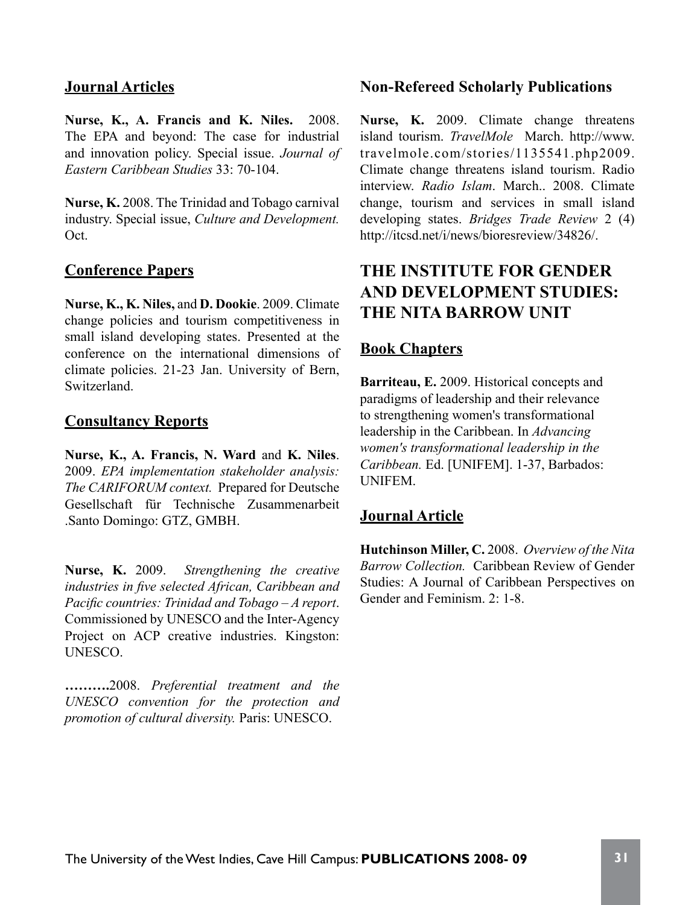## **Journal Articles**

**Nurse, K., A. Francis and K. Niles.** 2008. The EPA and beyond: The case for industrial and innovation policy. Special issue. *Journal of Eastern Caribbean Studies* 33: 70-104.

**Nurse, K.** 2008. The Trinidad and Tobago carnival industry. Special issue, *Culture and Development.* Oct.

## **Conference Papers**

**Nurse, K., K. Niles,** and **D. Dookie**. 2009. Climate change policies and tourism competitiveness in small island developing states. Presented at the conference on the international dimensions of climate policies. 21-23 Jan. University of Bern, **Switzerland** 

#### **Consultancy Reports**

**Nurse, K., A. Francis, N. Ward** and **K. Niles**. 2009. *EPA implementation stakeholder analysis: The CARIFORUM context.* Prepared for Deutsche Gesellschaft für Technische Zusammenarbeit .Santo Domingo: GTZ, GMBH.

**Nurse, K.** 2009. *Strengthening the creative industries in five selected African, Caribbean and Pacific countries: Trinidad and Tobago – A report*. Commissioned by UNESCO and the Inter-Agency Project on ACP creative industries. Kingston: UNESCO.

**……….**2008. *Preferential treatment and the UNESCO convention for the protection and promotion of cultural diversity.* Paris: UNESCO.

## **Non-Refereed Scholarly Publications**

Nurse, K. 2009. Climate change threatens island tourism. *TravelMole* March. http://www. travelmole.com/stories/1135541.php2009. Climate change threatens island tourism. Radio interview. *Radio Islam*. March.. 2008. Climate change, tourism and services in small island developing states. *Bridges Trade Review* 2 (4) http://itcsd.net/i/news/bioresreview/34826/.

## **THE INSTITUTE FOR GENDER AND DEVELOPMENT STUDIES: THE NITA BARROW UNIT**

## **Book Chapters**

**Barriteau, E.** 2009. Historical concepts and paradigms of leadership and their relevance to strengthening women's transformational leadership in the Caribbean. In *Advancing women's transformational leadership in the Caribbean.* Ed. [UNIFEM]. 1-37, Barbados: **I** INIFEM.

## **Journal Article**

**Hutchinson Miller, C.** 2008. *Overview of the Nita Barrow Collection.* Caribbean Review of Gender Studies: A Journal of Caribbean Perspectives on Gender and Feminism. 2: 1-8.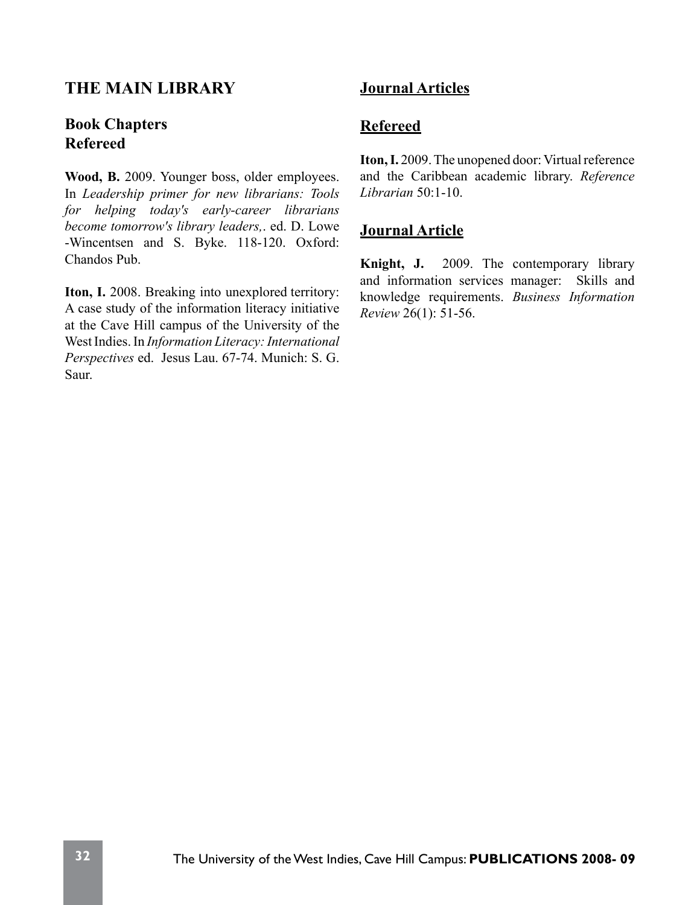## **THE MAIN LIBRARY**

## **Book Chapters Refereed**

**Wood, B.** 2009. Younger boss, older employees. In *Leadership primer for new librarians: Tools for helping today's early-career librarians become tomorrow's library leaders,*. ed. D. Lowe -Wincentsen and S. Byke. 118-120. Oxford: Chandos Pub.

**Iton, I.** 2008. Breaking into unexplored territory: A case study of the information literacy initiative at the Cave Hill campus of the University of the West Indies. In *Information Literacy: International Perspectives* ed. Jesus Lau. 67-74. Munich: S. G. Saur.

## **Journal Articles**

## **Refereed**

**Iton, I.** 2009. The unopened door: Virtual reference and the Caribbean academic library. *Reference Librarian* 50:1-10.

## **Journal Article**

**Knight, J.** 2009. The contemporary library and information services manager: Skills and knowledge requirements. *Business Information Review* 26(1): 51-56.